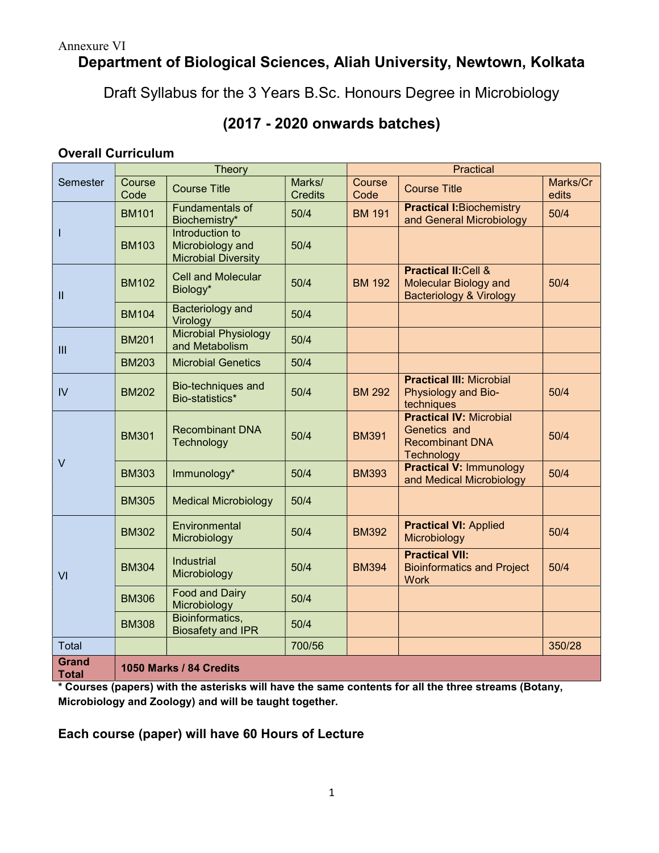# Department of Biological Sciences, Aliah University, Newtown, Kolkata

Draft Syllabus for the 3 Years B.Sc. Honours Degree in Microbiology

# (2017 - 2020 onwards batches)

# Overall Curriculum

| Semester                     | Theory                         |                                                                   |                          | Practical      |                                                                                                       |                   |  |  |
|------------------------------|--------------------------------|-------------------------------------------------------------------|--------------------------|----------------|-------------------------------------------------------------------------------------------------------|-------------------|--|--|
|                              | Course<br>Code                 | <b>Course Title</b>                                               | Marks/<br><b>Credits</b> | Course<br>Code | <b>Course Title</b>                                                                                   | Marks/Cr<br>edits |  |  |
| т                            | <b>BM101</b>                   | Fundamentals of<br>Biochemistry*                                  | 50/4                     | <b>BM 191</b>  | <b>Practical I:Biochemistry</b><br>and General Microbiology                                           | 50/4              |  |  |
|                              | <b>BM103</b>                   | Introduction to<br>Microbiology and<br><b>Microbial Diversity</b> | 50/4                     |                |                                                                                                       |                   |  |  |
| $\mathbf{II}$                | <b>BM102</b>                   | <b>Cell and Molecular</b><br>Biology*                             | 50/4                     | <b>BM 192</b>  | <b>Practical II: Cell &amp;</b><br><b>Molecular Biology and</b><br><b>Bacteriology &amp; Virology</b> | 50/4              |  |  |
|                              | <b>BM104</b>                   | <b>Bacteriology and</b><br>Virology                               | 50/4                     |                |                                                                                                       |                   |  |  |
| III                          | <b>BM201</b>                   | <b>Microbial Physiology</b><br>and Metabolism                     | 50/4                     |                |                                                                                                       |                   |  |  |
|                              | <b>BM203</b>                   | <b>Microbial Genetics</b>                                         | 50/4                     |                |                                                                                                       |                   |  |  |
| IV                           | <b>BM202</b>                   | Bio-techniques and<br>Bio-statistics*                             | 50/4                     | <b>BM 292</b>  | <b>Practical III: Microbial</b><br>Physiology and Bio-<br>techniques                                  | 50/4              |  |  |
| V                            | <b>BM301</b>                   | <b>Recombinant DNA</b><br>Technology                              | 50/4                     | <b>BM391</b>   | <b>Practical IV: Microbial</b><br>Genetics and<br><b>Recombinant DNA</b><br>Technology                | 50/4              |  |  |
|                              | <b>BM303</b>                   | Immunology*                                                       | 50/4                     | <b>BM393</b>   | <b>Practical V: Immunology</b><br>and Medical Microbiology                                            | 50/4              |  |  |
|                              | <b>BM305</b>                   | <b>Medical Microbiology</b>                                       | 50/4                     |                |                                                                                                       |                   |  |  |
| VI                           | <b>BM302</b>                   | Environmental<br>Microbiology                                     | 50/4                     | <b>BM392</b>   | <b>Practical VI: Applied</b><br>Microbiology                                                          | 50/4              |  |  |
|                              | <b>BM304</b>                   | <b>Industrial</b><br>Microbiology                                 | 50/4                     | <b>BM394</b>   | <b>Practical VII:</b><br><b>Bioinformatics and Project</b><br><b>Work</b>                             | 50/4              |  |  |
|                              | <b>BM306</b>                   | <b>Food and Dairy</b><br>Microbiology                             | 50/4                     |                |                                                                                                       |                   |  |  |
|                              | <b>BM308</b>                   | Bioinformatics,<br><b>Biosafety and IPR</b>                       | 50/4                     |                |                                                                                                       |                   |  |  |
| Total                        |                                |                                                                   | 700/56                   |                |                                                                                                       | 350/28            |  |  |
| <b>Grand</b><br><b>Total</b> | <b>1050 Marks / 84 Credits</b> |                                                                   |                          |                |                                                                                                       |                   |  |  |

\* Courses (papers) with the asterisks will have the same contents for all the three streams (Botany, Microbiology and Zoology) and will be taught together.

# Each course (paper) will have 60 Hours of Lecture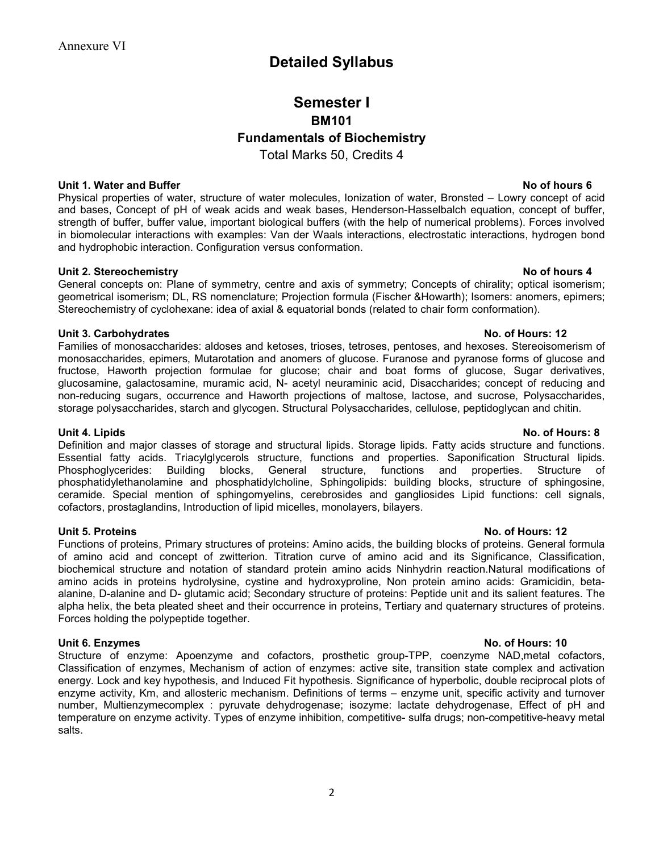# Detailed Syllabus

# Semester I BM101 Fundamentals of Biochemistry

Total Marks 50, Credits 4

### Unit 1. Water and Buffer No of hours 6

Physical properties of water, structure of water molecules, Ionization of water, Bronsted – Lowry concept of acid and bases, Concept of pH of weak acids and weak bases, Henderson-Hasselbalch equation, concept of buffer, strength of buffer, buffer value, important biological buffers (with the help of numerical problems). Forces involved in biomolecular interactions with examples: Van der Waals interactions, electrostatic interactions, hydrogen bond and hydrophobic interaction. Configuration versus conformation.

### Unit 2. Stereochemistry No of hours 4

General concepts on: Plane of symmetry, centre and axis of symmetry; Concepts of chirality; optical isomerism; geometrical isomerism; DL, RS nomenclature; Projection formula (Fischer &Howarth); Isomers: anomers, epimers; Stereochemistry of cyclohexane: idea of axial & equatorial bonds (related to chair form conformation).

### Unit 3. Carbohydrates No. of Hours: 12

Families of monosaccharides: aldoses and ketoses, trioses, tetroses, pentoses, and hexoses. Stereoisomerism of monosaccharides, epimers, Mutarotation and anomers of glucose. Furanose and pyranose forms of glucose and fructose, Haworth projection formulae for glucose; chair and boat forms of glucose, Sugar derivatives, glucosamine, galactosamine, muramic acid, N- acetyl neuraminic acid, Disaccharides; concept of reducing and non-reducing sugars, occurrence and Haworth projections of maltose, lactose, and sucrose, Polysaccharides, storage polysaccharides, starch and glycogen. Structural Polysaccharides, cellulose, peptidoglycan and chitin.

### Unit 4. Lipids No. of Hours: 8

Definition and major classes of storage and structural lipids. Storage lipids. Fatty acids structure and functions. Essential fatty acids. Triacylglycerols structure, functions and properties. Saponification Structural lipids. Phosphoglycerides: Building blocks, General structure, functions and properties. Structure of phosphatidylethanolamine and phosphatidylcholine, Sphingolipids: building blocks, structure of sphingosine, ceramide. Special mention of sphingomyelins, cerebrosides and gangliosides Lipid functions: cell signals, cofactors, prostaglandins, Introduction of lipid micelles, monolayers, bilayers.

### Unit 5. Proteins No. of Hours: 12

Functions of proteins, Primary structures of proteins: Amino acids, the building blocks of proteins. General formula of amino acid and concept of zwitterion. Titration curve of amino acid and its Significance, Classification, biochemical structure and notation of standard protein amino acids Ninhydrin reaction.Natural modifications of amino acids in proteins hydrolysine, cystine and hydroxyproline, Non protein amino acids: Gramicidin, betaalanine, D-alanine and D- glutamic acid; Secondary structure of proteins: Peptide unit and its salient features. The alpha helix, the beta pleated sheet and their occurrence in proteins, Tertiary and quaternary structures of proteins. Forces holding the polypeptide together.

### Unit 6. Enzymes **No. of Hours: 10**

Structure of enzyme: Apoenzyme and cofactors, prosthetic group-TPP, coenzyme NAD,metal cofactors, Classification of enzymes, Mechanism of action of enzymes: active site, transition state complex and activation energy. Lock and key hypothesis, and Induced Fit hypothesis. Significance of hyperbolic, double reciprocal plots of enzyme activity, Km, and allosteric mechanism. Definitions of terms – enzyme unit, specific activity and turnover number, Multienzymecomplex : pyruvate dehydrogenase; isozyme: lactate dehydrogenase, Effect of pH and temperature on enzyme activity. Types of enzyme inhibition, competitive- sulfa drugs; non-competitive-heavy metal salts.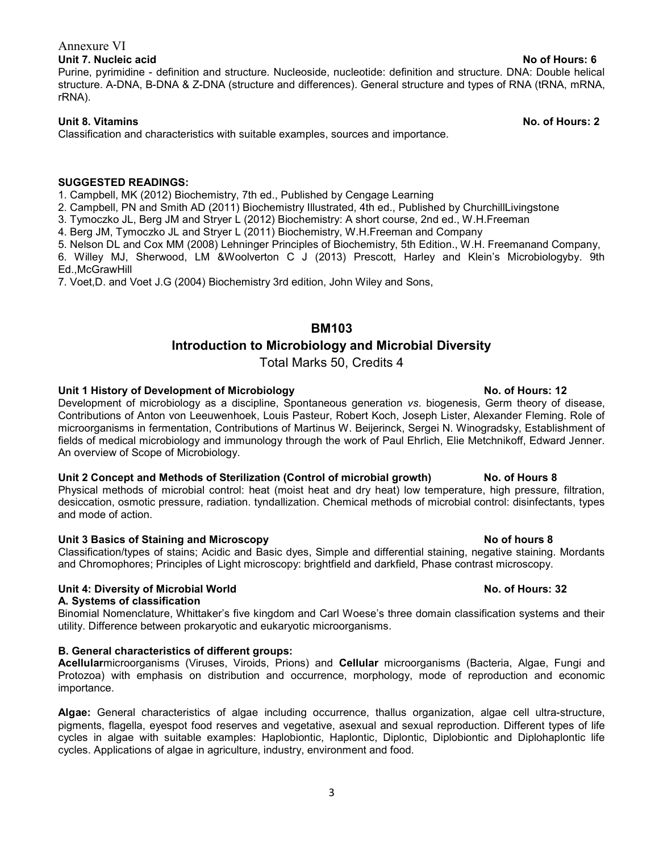### Unit 7. Nucleic acid No. 2012 12:00:00 No. 2012 12:00:00 No. 2012 12:00:00 No. 2012 12:00:00 No. 2012 12:00:00

Purine, pyrimidine - definition and structure. Nucleoside, nucleotide: definition and structure. DNA: Double helical structure. A-DNA, B-DNA & Z-DNA (structure and differences). General structure and types of RNA (tRNA, mRNA, rRNA).

### Unit 8. Vitamins No. of Hours: 2

Classification and characteristics with suitable examples, sources and importance.

### SUGGESTED READINGS:

1. Campbell, MK (2012) Biochemistry, 7th ed., Published by Cengage Learning

2. Campbell, PN and Smith AD (2011) Biochemistry Illustrated, 4th ed., Published by ChurchillLivingstone

3. Tymoczko JL, Berg JM and Stryer L (2012) Biochemistry: A short course, 2nd ed., W.H.Freeman

4. Berg JM, Tymoczko JL and Stryer L (2011) Biochemistry, W.H.Freeman and Company

5. Nelson DL and Cox MM (2008) Lehninger Principles of Biochemistry, 5th Edition., W.H. Freemanand Company,

6. Willey MJ, Sherwood, LM &Woolverton C J (2013) Prescott, Harley and Klein's Microbiologyby. 9th Ed.,McGrawHill

7. Voet,D. and Voet J.G (2004) Biochemistry 3rd edition, John Wiley and Sons,

## BM103

## Introduction to Microbiology and Microbial Diversity

Total Marks 50, Credits 4

### Unit 1 History of Development of Microbiology No. of Hours: 12

Development of microbiology as a discipline, Spontaneous generation vs. biogenesis, Germ theory of disease, Contributions of Anton von Leeuwenhoek, Louis Pasteur, Robert Koch, Joseph Lister, Alexander Fleming. Role of microorganisms in fermentation, Contributions of Martinus W. Beijerinck, Sergei N. Winogradsky, Establishment of fields of medical microbiology and immunology through the work of Paul Ehrlich, Elie Metchnikoff, Edward Jenner. An overview of Scope of Microbiology.

### Unit 2 Concept and Methods of Sterilization (Control of microbial growth) No. of Hours 8

Physical methods of microbial control: heat (moist heat and dry heat) low temperature, high pressure, filtration, desiccation, osmotic pressure, radiation. tyndallization. Chemical methods of microbial control: disinfectants, types and mode of action.

### Unit 3 Basics of Staining and Microscopy No of hours 8

Classification/types of stains; Acidic and Basic dyes, Simple and differential staining, negative staining. Mordants and Chromophores; Principles of Light microscopy: brightfield and darkfield, Phase contrast microscopy.

### Unit 4: Diversity of Microbial World No. of Hours: 32

### A. Systems of classification

Binomial Nomenclature, Whittaker's five kingdom and Carl Woese's three domain classification systems and their utility. Difference between prokaryotic and eukaryotic microorganisms.

### B. General characteristics of different groups:

Acellularmicroorganisms (Viruses, Viroids, Prions) and Cellular microorganisms (Bacteria, Algae, Fungi and Protozoa) with emphasis on distribution and occurrence, morphology, mode of reproduction and economic importance.

Algae: General characteristics of algae including occurrence, thallus organization, algae cell ultra-structure, pigments, flagella, eyespot food reserves and vegetative, asexual and sexual reproduction. Different types of life cycles in algae with suitable examples: Haplobiontic, Haplontic, Diplontic, Diplobiontic and Diplohaplontic life cycles. Applications of algae in agriculture, industry, environment and food.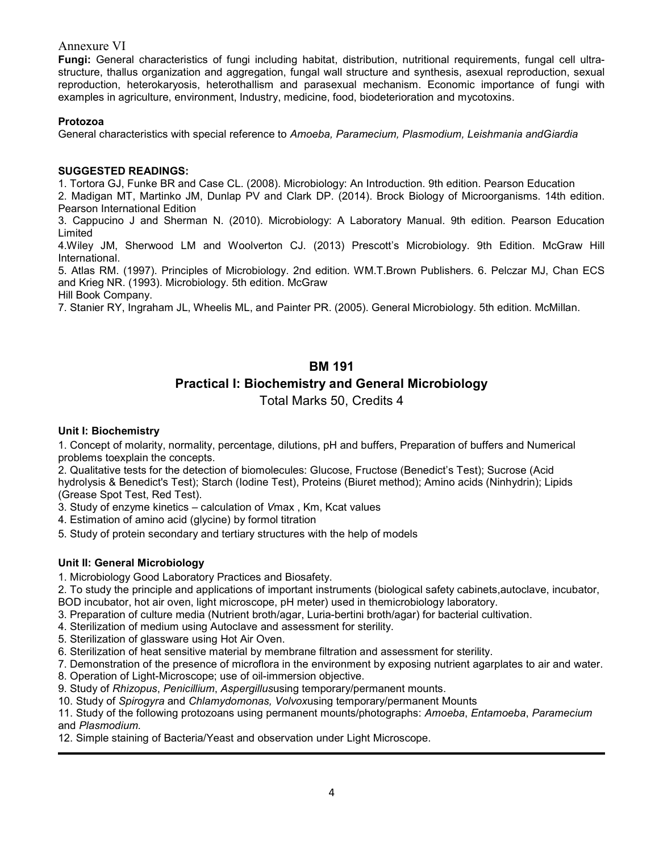Fungi: General characteristics of fungi including habitat, distribution, nutritional requirements, fungal cell ultrastructure, thallus organization and aggregation, fungal wall structure and synthesis, asexual reproduction, sexual reproduction, heterokaryosis, heterothallism and parasexual mechanism. Economic importance of fungi with examples in agriculture, environment, Industry, medicine, food, biodeterioration and mycotoxins.

### Protozoa

General characteristics with special reference to Amoeba, Paramecium, Plasmodium, Leishmania andGiardia

### SUGGESTED READINGS:

1. Tortora GJ, Funke BR and Case CL. (2008). Microbiology: An Introduction. 9th edition. Pearson Education

2. Madigan MT, Martinko JM, Dunlap PV and Clark DP. (2014). Brock Biology of Microorganisms. 14th edition. Pearson International Edition

3. Cappucino J and Sherman N. (2010). Microbiology: A Laboratory Manual. 9th edition. Pearson Education Limited

4.Wiley JM, Sherwood LM and Woolverton CJ. (2013) Prescott's Microbiology. 9th Edition. McGraw Hill International.

5. Atlas RM. (1997). Principles of Microbiology. 2nd edition. WM.T.Brown Publishers. 6. Pelczar MJ, Chan ECS and Krieg NR. (1993). Microbiology. 5th edition. McGraw

Hill Book Company.

7. Stanier RY, Ingraham JL, Wheelis ML, and Painter PR. (2005). General Microbiology. 5th edition. McMillan.

## BM 191

## Practical I: Biochemistry and General Microbiology

Total Marks 50, Credits 4

### Unit I: Biochemistry

1. Concept of molarity, normality, percentage, dilutions, pH and buffers, Preparation of buffers and Numerical problems toexplain the concepts.

2. Qualitative tests for the detection of biomolecules: Glucose, Fructose (Benedict's Test); Sucrose (Acid hydrolysis & Benedict's Test); Starch (Iodine Test), Proteins (Biuret method); Amino acids (Ninhydrin); Lipids (Grease Spot Test, Red Test).

3. Study of enzyme kinetics – calculation of Vmax , Km, Kcat values

4. Estimation of amino acid (glycine) by formol titration

5. Study of protein secondary and tertiary structures with the help of models

### Unit II: General Microbiology

1. Microbiology Good Laboratory Practices and Biosafety.

2. To study the principle and applications of important instruments (biological safety cabinets,autoclave, incubator, BOD incubator, hot air oven, light microscope, pH meter) used in themicrobiology laboratory.

- 
- 3. Preparation of culture media (Nutrient broth/agar, Luria-bertini broth/agar) for bacterial cultivation.
- 4. Sterilization of medium using Autoclave and assessment for sterility.
- 5. Sterilization of glassware using Hot Air Oven.
- 6. Sterilization of heat sensitive material by membrane filtration and assessment for sterility.
- 7. Demonstration of the presence of microflora in the environment by exposing nutrient agarplates to air and water.
- 8. Operation of Light-Microscope; use of oil-immersion objective.
- 9. Study of Rhizopus, Penicillium, Aspergillususing temporary/permanent mounts.
- 10. Study of Spirogyra and Chlamydomonas, Volvoxusing temporary/permanent Mounts

11. Study of the following protozoans using permanent mounts/photographs: Amoeba, Entamoeba, Paramecium and Plasmodium.

12. Simple staining of Bacteria/Yeast and observation under Light Microscope.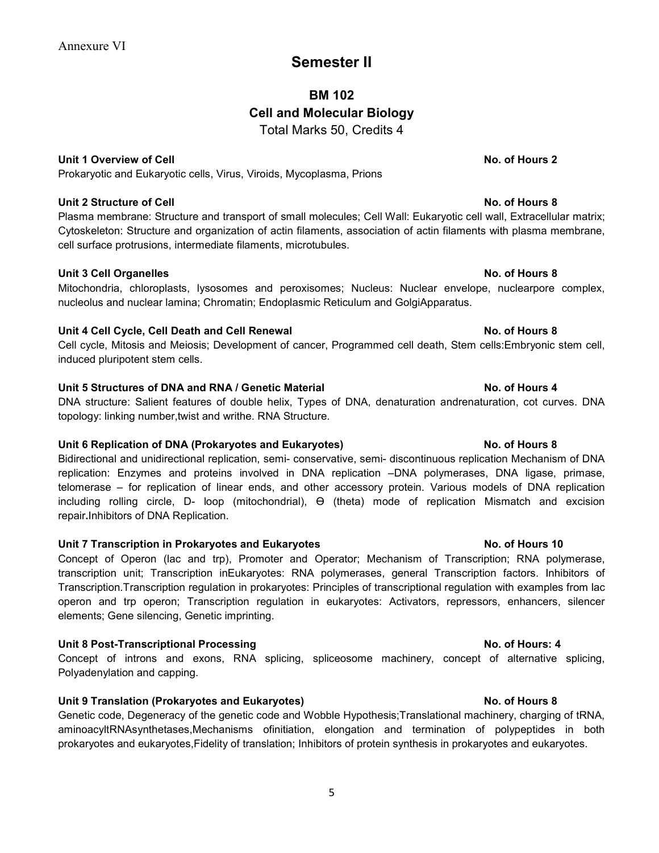# Semester II

# BM 102 Cell and Molecular Biology Total Marks 50, Credits 4

### Unit 1 Overview of Cell No. of Hours 2

Prokaryotic and Eukaryotic cells, Virus, Viroids, Mycoplasma, Prions

### Unit 2 Structure of Cell No. of Hours 8

Plasma membrane: Structure and transport of small molecules; Cell Wall: Eukaryotic cell wall, Extracellular matrix; Cytoskeleton: Structure and organization of actin filaments, association of actin filaments with plasma membrane, cell surface protrusions, intermediate filaments, microtubules.

### Unit 3 Cell Organelles **No. of Hours 8**

Mitochondria, chloroplasts, lysosomes and peroxisomes; Nucleus: Nuclear envelope, nuclearpore complex, nucleolus and nuclear lamina; Chromatin; Endoplasmic Reticulum and GolgiApparatus.

### Unit 4 Cell Cycle, Cell Death and Cell Renewal No. of Hours 8

Cell cycle, Mitosis and Meiosis; Development of cancer, Programmed cell death, Stem cells:Embryonic stem cell, induced pluripotent stem cells.

### Unit 5 Structures of DNA and RNA / Genetic Material No. of Hours 4

DNA structure: Salient features of double helix, Types of DNA, denaturation andrenaturation, cot curves. DNA topology: linking number,twist and writhe. RNA Structure.

### Unit 6 Replication of DNA (Prokaryotes and Eukaryotes) No. of Hours 8

Bidirectional and unidirectional replication, semi- conservative, semi- discontinuous replication Mechanism of DNA replication: Enzymes and proteins involved in DNA replication –DNA polymerases, DNA ligase, primase, telomerase – for replication of linear ends, and other accessory protein. Various models of DNA replication including rolling circle, D- loop (mitochondrial), Ө (theta) mode of replication Mismatch and excision repair.Inhibitors of DNA Replication.

### Unit 7 Transcription in Prokaryotes and Eukaryotes No. of Hours 10

Concept of Operon (lac and trp), Promoter and Operator; Mechanism of Transcription; RNA polymerase, transcription unit; Transcription inEukaryotes: RNA polymerases, general Transcription factors. Inhibitors of Transcription.Transcription regulation in prokaryotes: Principles of transcriptional regulation with examples from lac operon and trp operon; Transcription regulation in eukaryotes: Activators, repressors, enhancers, silencer elements; Gene silencing, Genetic imprinting.

### Unit 8 Post-Transcriptional Processing No. of Hours: 4

Concept of introns and exons, RNA splicing, spliceosome machinery, concept of alternative splicing, Polyadenylation and capping.

### Unit 9 Translation (Prokaryotes and Eukaryotes) No. of Hours 8

Genetic code, Degeneracy of the genetic code and Wobble Hypothesis;Translational machinery, charging of tRNA, aminoacyltRNAsynthetases,Mechanisms ofinitiation, elongation and termination of polypeptides in both prokaryotes and eukaryotes,Fidelity of translation; Inhibitors of protein synthesis in prokaryotes and eukaryotes.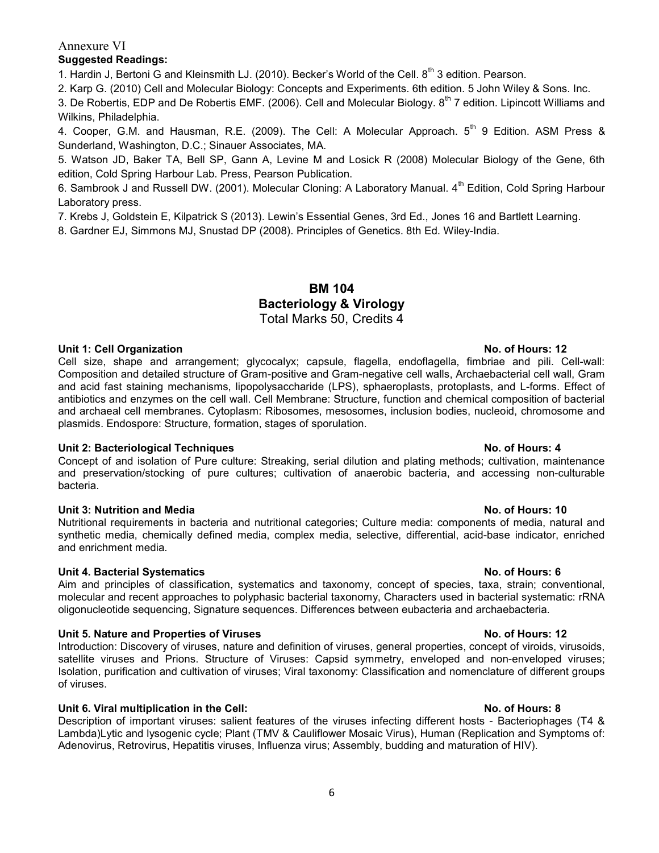### Suggested Readings:

1. Hardin J, Bertoni G and Kleinsmith LJ. (2010). Becker's World of the Cell. 8<sup>th</sup> 3 edition. Pearson.

2. Karp G. (2010) Cell and Molecular Biology: Concepts and Experiments. 6th edition. 5 John Wiley & Sons. Inc.

3. De Robertis, EDP and De Robertis EMF. (2006). Cell and Molecular Biology. 8<sup>th</sup> 7 edition. Lipincott Williams and Wilkins, Philadelphia.

4. Cooper, G.M. and Hausman, R.E. (2009). The Cell: A Molecular Approach. 5<sup>th</sup> 9 Edition. ASM Press & Sunderland, Washington, D.C.; Sinauer Associates, MA.

5. Watson JD, Baker TA, Bell SP, Gann A, Levine M and Losick R (2008) Molecular Biology of the Gene, 6th edition, Cold Spring Harbour Lab. Press, Pearson Publication.

6. Sambrook J and Russell DW. (2001). Molecular Cloning: A Laboratory Manual. 4<sup>th</sup> Edition, Cold Spring Harbour Laboratory press.

7. Krebs J, Goldstein E, Kilpatrick S (2013). Lewin's Essential Genes, 3rd Ed., Jones 16 and Bartlett Learning.

8. Gardner EJ, Simmons MJ, Snustad DP (2008). Principles of Genetics. 8th Ed. Wiley-India.

## BM 104 Bacteriology & Virology Total Marks 50, Credits 4

### Unit 1: Cell Organization No. of Hours: 12

Cell size, shape and arrangement; glycocalyx; capsule, flagella, endoflagella, fimbriae and pili. Cell-wall: Composition and detailed structure of Gram-positive and Gram-negative cell walls, Archaebacterial cell wall, Gram and acid fast staining mechanisms, lipopolysaccharide (LPS), sphaeroplasts, protoplasts, and L-forms. Effect of antibiotics and enzymes on the cell wall. Cell Membrane: Structure, function and chemical composition of bacterial and archaeal cell membranes. Cytoplasm: Ribosomes, mesosomes, inclusion bodies, nucleoid, chromosome and plasmids. Endospore: Structure, formation, stages of sporulation.

### Unit 2: Bacteriological Techniques No. of Hours: 4

Concept of and isolation of Pure culture: Streaking, serial dilution and plating methods; cultivation, maintenance and preservation/stocking of pure cultures; cultivation of anaerobic bacteria, and accessing non-culturable bacteria.

### Unit 3: Nutrition and Media No. of Hours: 10

Nutritional requirements in bacteria and nutritional categories; Culture media: components of media, natural and synthetic media, chemically defined media, complex media, selective, differential, acid-base indicator, enriched and enrichment media.

### Unit 4. Bacterial Systematics No. of Hours: 6

Aim and principles of classification, systematics and taxonomy, concept of species, taxa, strain; conventional, molecular and recent approaches to polyphasic bacterial taxonomy, Characters used in bacterial systematic: rRNA oligonucleotide sequencing, Signature sequences. Differences between eubacteria and archaebacteria.

### Unit 5. Nature and Properties of Viruses No. of Hours: 12

Introduction: Discovery of viruses, nature and definition of viruses, general properties, concept of viroids, virusoids, satellite viruses and Prions. Structure of Viruses: Capsid symmetry, enveloped and non-enveloped viruses; Isolation, purification and cultivation of viruses; Viral taxonomy: Classification and nomenclature of different groups of viruses.

### Unit 6. Viral multiplication in the Cell: No. of Hours: 8

Description of important viruses: salient features of the viruses infecting different hosts - Bacteriophages (T4 & Lambda)Lytic and lysogenic cycle; Plant (TMV & Cauliflower Mosaic Virus), Human (Replication and Symptoms of: Adenovirus, Retrovirus, Hepatitis viruses, Influenza virus; Assembly, budding and maturation of HIV).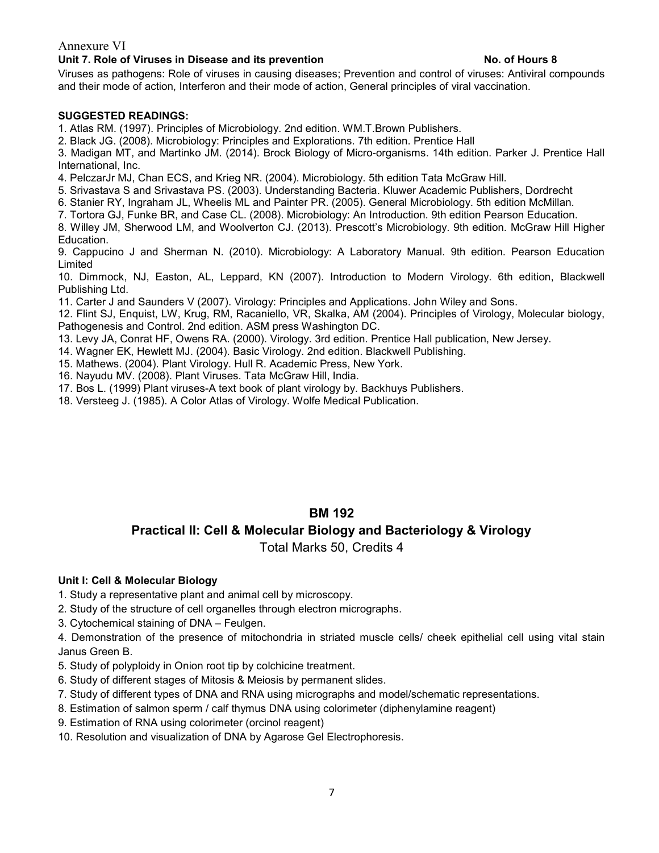### Unit 7. Role of Viruses in Disease and its prevention No. of Hours 8

Viruses as pathogens: Role of viruses in causing diseases; Prevention and control of viruses: Antiviral compounds and their mode of action, Interferon and their mode of action, General principles of viral vaccination.

### SUGGESTED READINGS:

1. Atlas RM. (1997). Principles of Microbiology. 2nd edition. WM.T.Brown Publishers.

2. Black JG. (2008). Microbiology: Principles and Explorations. 7th edition. Prentice Hall

3. Madigan MT, and Martinko JM. (2014). Brock Biology of Micro-organisms. 14th edition. Parker J. Prentice Hall International, Inc.

4. PelczarJr MJ, Chan ECS, and Krieg NR. (2004). Microbiology. 5th edition Tata McGraw Hill.

5. Srivastava S and Srivastava PS. (2003). Understanding Bacteria. Kluwer Academic Publishers, Dordrecht

6. Stanier RY, Ingraham JL, Wheelis ML and Painter PR. (2005). General Microbiology. 5th edition McMillan.

7. Tortora GJ, Funke BR, and Case CL. (2008). Microbiology: An Introduction. 9th edition Pearson Education.

8. Willey JM, Sherwood LM, and Woolverton CJ. (2013). Prescott's Microbiology. 9th edition. McGraw Hill Higher Education.

9. Cappucino J and Sherman N. (2010). Microbiology: A Laboratory Manual. 9th edition. Pearson Education Limited

10. Dimmock, NJ, Easton, AL, Leppard, KN (2007). Introduction to Modern Virology. 6th edition, Blackwell Publishing Ltd.

11. Carter J and Saunders V (2007). Virology: Principles and Applications. John Wiley and Sons.

12. Flint SJ, Enquist, LW, Krug, RM, Racaniello, VR, Skalka, AM (2004). Principles of Virology, Molecular biology, Pathogenesis and Control. 2nd edition. ASM press Washington DC.

13. Levy JA, Conrat HF, Owens RA. (2000). Virology. 3rd edition. Prentice Hall publication, New Jersey.

14. Wagner EK, Hewlett MJ. (2004). Basic Virology. 2nd edition. Blackwell Publishing.

15. Mathews. (2004). Plant Virology. Hull R. Academic Press, New York.

16. Nayudu MV. (2008). Plant Viruses. Tata McGraw Hill, India.

17. Bos L. (1999) Plant viruses-A text book of plant virology by. Backhuys Publishers.

18. Versteeg J. (1985). A Color Atlas of Virology. Wolfe Medical Publication.

## BM 192

# Practical II: Cell & Molecular Biology and Bacteriology & Virology

Total Marks 50, Credits 4

### Unit I: Cell & Molecular Biology

1. Study a representative plant and animal cell by microscopy.

2. Study of the structure of cell organelles through electron micrographs.

3. Cytochemical staining of DNA – Feulgen.

4. Demonstration of the presence of mitochondria in striated muscle cells/ cheek epithelial cell using vital stain Janus Green B.

5. Study of polyploidy in Onion root tip by colchicine treatment.

6. Study of different stages of Mitosis & Meiosis by permanent slides.

7. Study of different types of DNA and RNA using micrographs and model/schematic representations.

8. Estimation of salmon sperm / calf thymus DNA using colorimeter (diphenylamine reagent)

9. Estimation of RNA using colorimeter (orcinol reagent)

10. Resolution and visualization of DNA by Agarose Gel Electrophoresis.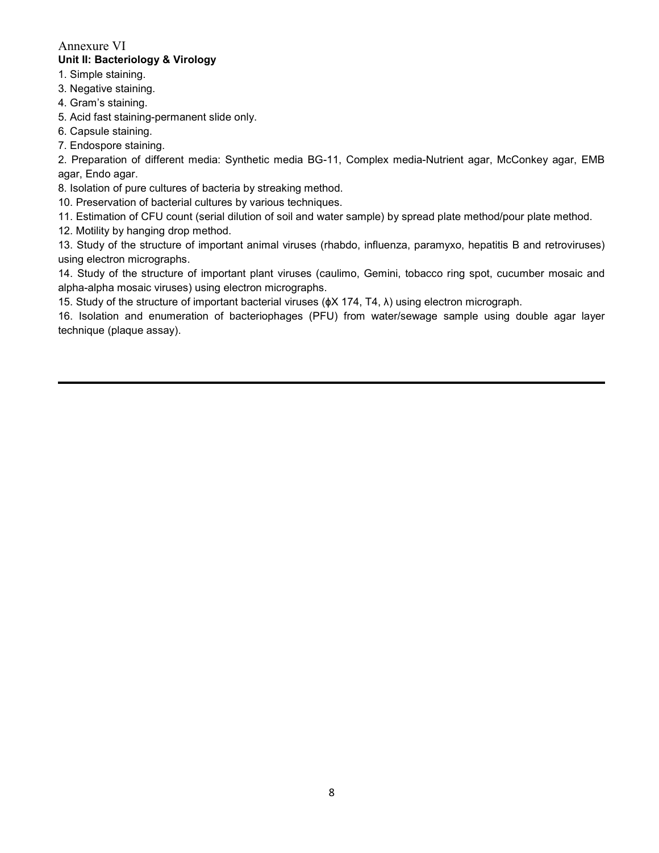## Annexure VI Unit II: Bacteriology & Virology

- 1. Simple staining.
- 3. Negative staining.
- 4. Gram's staining.

5. Acid fast staining-permanent slide only.

6. Capsule staining.

7. Endospore staining.

2. Preparation of different media: Synthetic media BG-11, Complex media-Nutrient agar, McConkey agar, EMB agar, Endo agar.

8. Isolation of pure cultures of bacteria by streaking method.

10. Preservation of bacterial cultures by various techniques.

11. Estimation of CFU count (serial dilution of soil and water sample) by spread plate method/pour plate method.

12. Motility by hanging drop method.

13. Study of the structure of important animal viruses (rhabdo, influenza, paramyxo, hepatitis B and retroviruses) using electron micrographs.

14. Study of the structure of important plant viruses (caulimo, Gemini, tobacco ring spot, cucumber mosaic and alpha-alpha mosaic viruses) using electron micrographs.

15. Study of the structure of important bacterial viruses (ɸX 174, T4, λ) using electron micrograph.

16. Isolation and enumeration of bacteriophages (PFU) from water/sewage sample using double agar layer technique (plaque assay).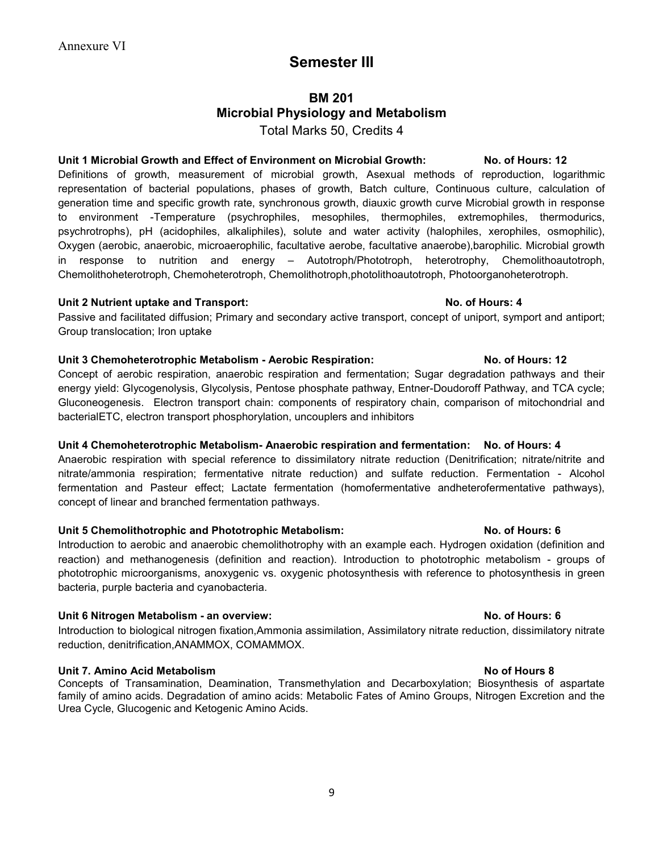# Semester III

# BM 201 Microbial Physiology and Metabolism Total Marks 50, Credits 4

### Unit 1 Microbial Growth and Effect of Environment on Microbial Growth: No. of Hours: 12

Definitions of growth, measurement of microbial growth, Asexual methods of reproduction, logarithmic representation of bacterial populations, phases of growth, Batch culture, Continuous culture, calculation of generation time and specific growth rate, synchronous growth, diauxic growth curve Microbial growth in response to environment -Temperature (psychrophiles, mesophiles, thermophiles, extremophiles, thermodurics, psychrotrophs), pH (acidophiles, alkaliphiles), solute and water activity (halophiles, xerophiles, osmophilic), Oxygen (aerobic, anaerobic, microaerophilic, facultative aerobe, facultative anaerobe),barophilic. Microbial growth in response to nutrition and energy – Autotroph/Phototroph, heterotrophy, Chemolithoautotroph, Chemolithoheterotroph, Chemoheterotroph, Chemolithotroph,photolithoautotroph, Photoorganoheterotroph.

### Unit 2 Nutrient uptake and Transport: No. of Hours: 4

Passive and facilitated diffusion; Primary and secondary active transport, concept of uniport, symport and antiport; Group translocation; Iron uptake

### Unit 3 Chemoheterotrophic Metabolism - Aerobic Respiration: No. of Hours: 12

Concept of aerobic respiration, anaerobic respiration and fermentation; Sugar degradation pathways and their energy yield: Glycogenolysis, Glycolysis, Pentose phosphate pathway, Entner-Doudoroff Pathway, and TCA cycle; Gluconeogenesis. Electron transport chain: components of respiratory chain, comparison of mitochondrial and bacterialETC, electron transport phosphorylation, uncouplers and inhibitors

### Unit 4 Chemoheterotrophic Metabolism- Anaerobic respiration and fermentation: No. of Hours: 4

Anaerobic respiration with special reference to dissimilatory nitrate reduction (Denitrification; nitrate/nitrite and nitrate/ammonia respiration; fermentative nitrate reduction) and sulfate reduction. Fermentation - Alcohol fermentation and Pasteur effect; Lactate fermentation (homofermentative andheterofermentative pathways), concept of linear and branched fermentation pathways.

### Unit 5 Chemolithotrophic and Phototrophic Metabolism: No. of Hours: 6

Introduction to aerobic and anaerobic chemolithotrophy with an example each. Hydrogen oxidation (definition and reaction) and methanogenesis (definition and reaction). Introduction to phototrophic metabolism - groups of phototrophic microorganisms, anoxygenic vs. oxygenic photosynthesis with reference to photosynthesis in green bacteria, purple bacteria and cyanobacteria.

### Unit 6 Nitrogen Metabolism - an overview: No. of Hours: 6

Introduction to biological nitrogen fixation,Ammonia assimilation, Assimilatory nitrate reduction, dissimilatory nitrate reduction, denitrification,ANAMMOX, COMAMMOX.

### Unit 7. Amino Acid Metabolism No. 2012 12:00:00 No. 2012 12:00:00 No. 2013

Concepts of Transamination, Deamination, Transmethylation and Decarboxylation; Biosynthesis of aspartate family of amino acids. Degradation of amino acids: Metabolic Fates of Amino Groups, Nitrogen Excretion and the Urea Cycle, Glucogenic and Ketogenic Amino Acids.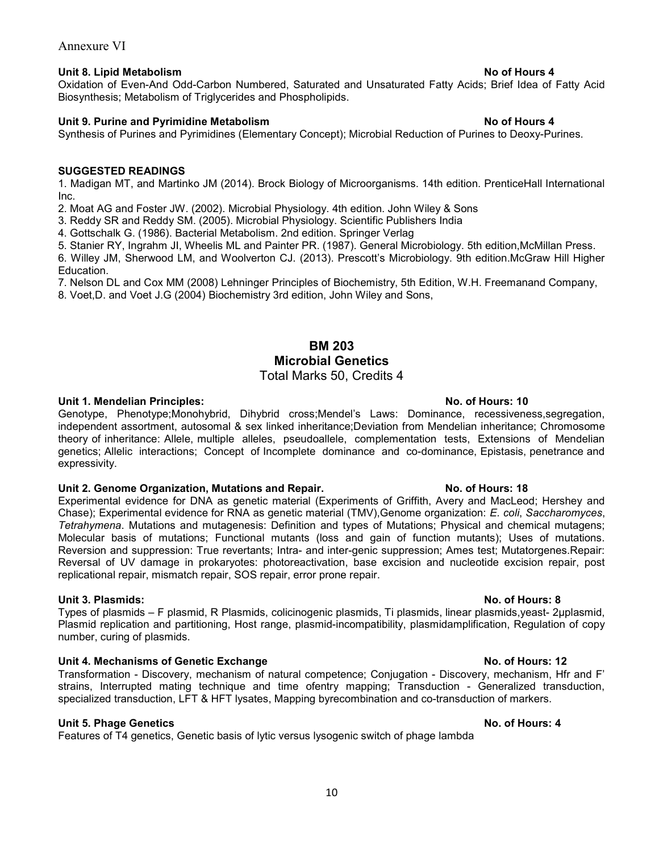### Unit 8. Lipid Metabolism **No. 2. In the Unit Section** 2.1 Apple 2.1 Apple 2.1 Apple 2.1 Apple 2.1 Apple 2.1 Apple 2.1 Apple 2.1 Apple 2.1 Apple 2.1 Apple 2.1 Apple 2.1 Apple 2.1 Apple 2.1 Apple 2.1 Apple 2.1 Apple 2.1 Appl

Oxidation of Even-And Odd-Carbon Numbered, Saturated and Unsaturated Fatty Acids; Brief Idea of Fatty Acid Biosynthesis; Metabolism of Triglycerides and Phospholipids.

### Unit 9. Purine and Pyrimidine Metabolism Note 2004 and Security 2006 100 Monet 2008 4

Synthesis of Purines and Pyrimidines (Elementary Concept); Microbial Reduction of Purines to Deoxy-Purines.

### SUGGESTED READINGS

1. Madigan MT, and Martinko JM (2014). Brock Biology of Microorganisms. 14th edition. PrenticeHall International Inc.

2. Moat AG and Foster JW. (2002). Microbial Physiology. 4th edition. John Wiley & Sons

3. Reddy SR and Reddy SM. (2005). Microbial Physiology. Scientific Publishers India

4. Gottschalk G. (1986). Bacterial Metabolism. 2nd edition. Springer Verlag

5. Stanier RY, Ingrahm JI, Wheelis ML and Painter PR. (1987). General Microbiology. 5th edition,McMillan Press.

6. Willey JM, Sherwood LM, and Woolverton CJ. (2013). Prescott's Microbiology. 9th edition.McGraw Hill Higher Education.

7. Nelson DL and Cox MM (2008) Lehninger Principles of Biochemistry, 5th Edition, W.H. Freemanand Company,

8. Voet,D. and Voet J.G (2004) Biochemistry 3rd edition, John Wiley and Sons,

### BM 203 Microbial Genetics Total Marks 50, Credits 4

Genotype, Phenotype;Monohybrid, Dihybrid cross;Mendel's Laws: Dominance, recessiveness,segregation, independent assortment, autosomal & sex linked inheritance;Deviation from Mendelian inheritance; Chromosome theory of inheritance: Allele, multiple alleles, pseudoallele, complementation tests, Extensions of Mendelian genetics; Allelic interactions; Concept of Incomplete dominance and co-dominance, Epistasis, penetrance and expressivity.

### Unit 2. Genome Organization, Mutations and Repair. No. 06 Hours: 18

Experimental evidence for DNA as genetic material (Experiments of Griffith, Avery and MacLeod; Hershey and Chase); Experimental evidence for RNA as genetic material (TMV),Genome organization: E. coli, Saccharomyces, Tetrahymena. Mutations and mutagenesis: Definition and types of Mutations; Physical and chemical mutagens; Molecular basis of mutations; Functional mutants (loss and gain of function mutants); Uses of mutations. Reversion and suppression: True revertants; Intra- and inter-genic suppression; Ames test; Mutatorgenes.Repair: Reversal of UV damage in prokaryotes: photoreactivation, base excision and nucleotide excision repair, post replicational repair, mismatch repair, SOS repair, error prone repair.

### Unit 3. Plasmids: No. of Hours: 8

Types of plasmids – F plasmid, R Plasmids, colicinogenic plasmids, Ti plasmids, linear plasmids,yeast- 2μplasmid, Plasmid replication and partitioning, Host range, plasmid-incompatibility, plasmidamplification, Regulation of copy number, curing of plasmids.

### Unit 4. Mechanisms of Genetic Exchange No. of Hours: 12

Transformation - Discovery, mechanism of natural competence; Conjugation - Discovery, mechanism, Hfr and F' strains, Interrupted mating technique and time ofentry mapping; Transduction - Generalized transduction, specialized transduction, LFT & HFT lysates, Mapping byrecombination and co-transduction of markers.

### Unit 5. Phage Genetics No. of Hours: 4

Features of T4 genetics, Genetic basis of lytic versus lysogenic switch of phage lambda

### Unit 1. Mendelian Principles: No. of Hours: 10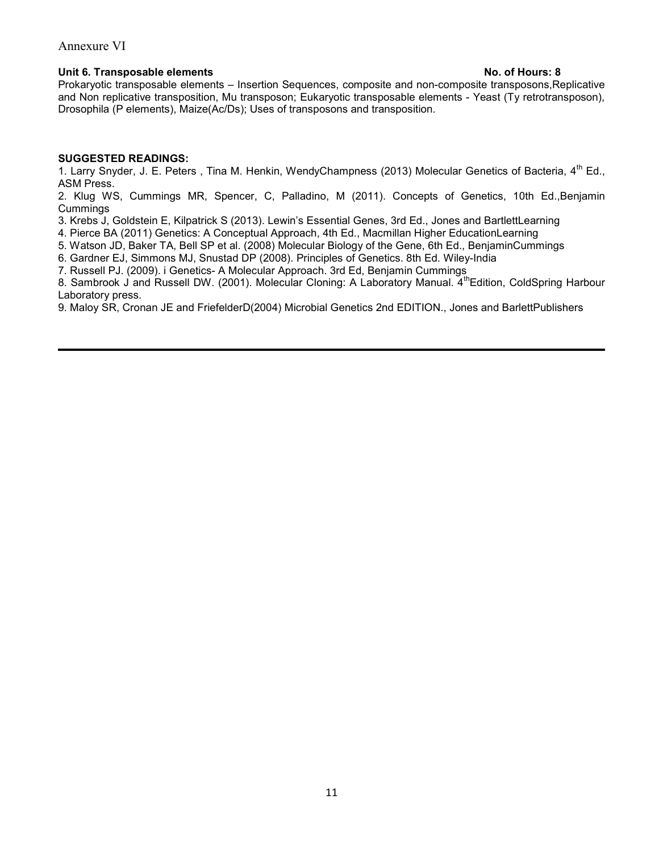### Unit 6. Transposable elements **No. of Hours: 8**

Prokaryotic transposable elements – Insertion Sequences, composite and non-composite transposons,Replicative and Non replicative transposition, Mu transposon; Eukaryotic transposable elements - Yeast (Ty retrotransposon), Drosophila (P elements), Maize(Ac/Ds); Uses of transposons and transposition.

### SUGGESTED READINGS:

1. Larry Snyder, J. E. Peters, Tina M. Henkin, WendyChampness (2013) Molecular Genetics of Bacteria, 4<sup>th</sup> Ed., ASM Press.

2. Klug WS, Cummings MR, Spencer, C, Palladino, M (2011). Concepts of Genetics, 10th Ed.,Benjamin Cummings

3. Krebs J, Goldstein E, Kilpatrick S (2013). Lewin's Essential Genes, 3rd Ed., Jones and BartlettLearning

4. Pierce BA (2011) Genetics: A Conceptual Approach, 4th Ed., Macmillan Higher EducationLearning

5. Watson JD, Baker TA, Bell SP et al. (2008) Molecular Biology of the Gene, 6th Ed., BenjaminCummings

6. Gardner EJ, Simmons MJ, Snustad DP (2008). Principles of Genetics. 8th Ed. Wiley-India

7. Russell PJ. (2009). i Genetics- A Molecular Approach. 3rd Ed, Benjamin Cummings

8. Sambrook J and Russell DW. (2001). Molecular Cloning: A Laboratory Manual. 4th Edition, ColdSpring Harbour Laboratory press.

9. Maloy SR, Cronan JE and FriefelderD(2004) Microbial Genetics 2nd EDITION., Jones and BarlettPublishers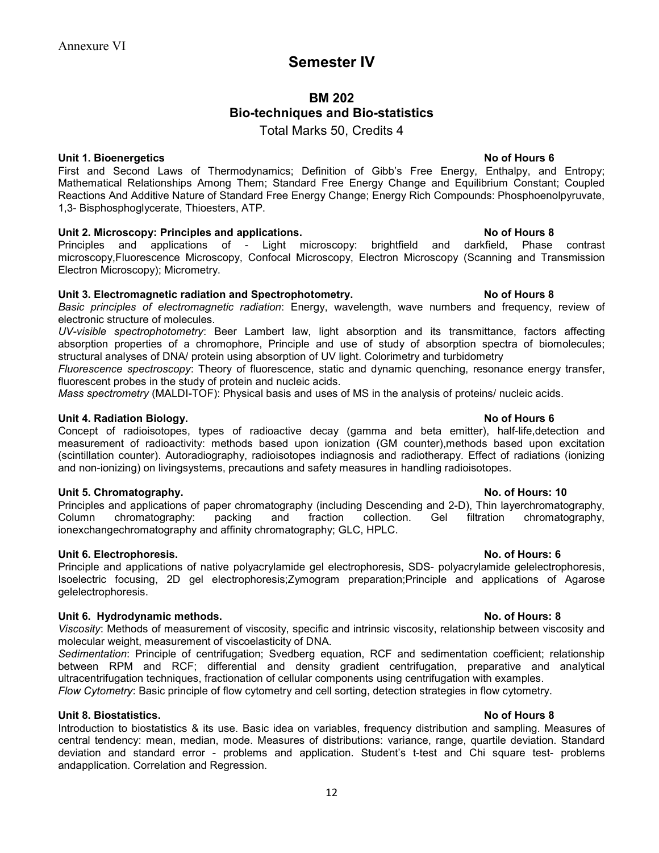# Semester IV

# BM 202 Bio-techniques and Bio-statistics

Total Marks 50, Credits 4

### Unit 1. Bioenergetics **No. 2. In the Unit 1. Bioenergetics** No. 2. In the Unit 1. Bioenergetics **No. 2. In the Unit 1. Bioenergetics**

First and Second Laws of Thermodynamics; Definition of Gibb's Free Energy, Enthalpy, and Entropy; Mathematical Relationships Among Them; Standard Free Energy Change and Equilibrium Constant; Coupled Reactions And Additive Nature of Standard Free Energy Change; Energy Rich Compounds: Phosphoenolpyruvate, 1,3- Bisphosphoglycerate, Thioesters, ATP.

### Unit 2. Microscopy: Principles and applications. No of Hours 8

Principles and applications of - Light microscopy: brightfield and darkfield, Phase contrast microscopy,Fluorescence Microscopy, Confocal Microscopy, Electron Microscopy (Scanning and Transmission Electron Microscopy); Micrometry.

### Unit 3. Electromagnetic radiation and Spectrophotometry. The Most Hours 8

Basic principles of electromagnetic radiation: Energy, wavelength, wave numbers and frequency, review of electronic structure of molecules.

UV-visible spectrophotometry: Beer Lambert law, light absorption and its transmittance, factors affecting absorption properties of a chromophore, Principle and use of study of absorption spectra of biomolecules; structural analyses of DNA/ protein using absorption of UV light. Colorimetry and turbidometry

Fluorescence spectroscopy: Theory of fluorescence, static and dynamic quenching, resonance energy transfer, fluorescent probes in the study of protein and nucleic acids.

Mass spectrometry (MALDI-TOF): Physical basis and uses of MS in the analysis of proteins/ nucleic acids.

### Unit 4. Radiation Biology. No of Hours 6

Concept of radioisotopes, types of radioactive decay (gamma and beta emitter), half-life,detection and measurement of radioactivity: methods based upon ionization (GM counter),methods based upon excitation (scintillation counter). Autoradiography, radioisotopes indiagnosis and radiotherapy. Effect of radiations (ionizing and non-ionizing) on livingsystems, precautions and safety measures in handling radioisotopes.

### Unit 5. Chromatography. No. of Hours: 10

Principles and applications of paper chromatography (including Descending and 2-D), Thin layerchromatography, Column chromatography: packing and fraction collection. Gel filtration chromatography, ionexchangechromatography and affinity chromatography; GLC, HPLC.

### Unit 6. Electrophoresis. No. of Hours: 6

Principle and applications of native polyacrylamide gel electrophoresis, SDS- polyacrylamide gelelectrophoresis, Isoelectric focusing, 2D gel electrophoresis;Zymogram preparation;Principle and applications of Agarose gelelectrophoresis.

### Unit 6. Hydrodynamic methods. No. of Hours: 8

Viscosity: Methods of measurement of viscosity, specific and intrinsic viscosity, relationship between viscosity and molecular weight, measurement of viscoelasticity of DNA.

Sedimentation: Principle of centrifugation; Svedberg equation, RCF and sedimentation coefficient; relationship between RPM and RCF; differential and density gradient centrifugation, preparative and analytical ultracentrifugation techniques, fractionation of cellular components using centrifugation with examples.

Flow Cytometry: Basic principle of flow cytometry and cell sorting, detection strategies in flow cytometry.

### Unit 8. Biostatistics. No of Hours 8

Introduction to biostatistics & its use. Basic idea on variables, frequency distribution and sampling. Measures of central tendency: mean, median, mode. Measures of distributions: variance, range, quartile deviation. Standard deviation and standard error - problems and application. Student's t-test and Chi square test- problems andapplication. Correlation and Regression.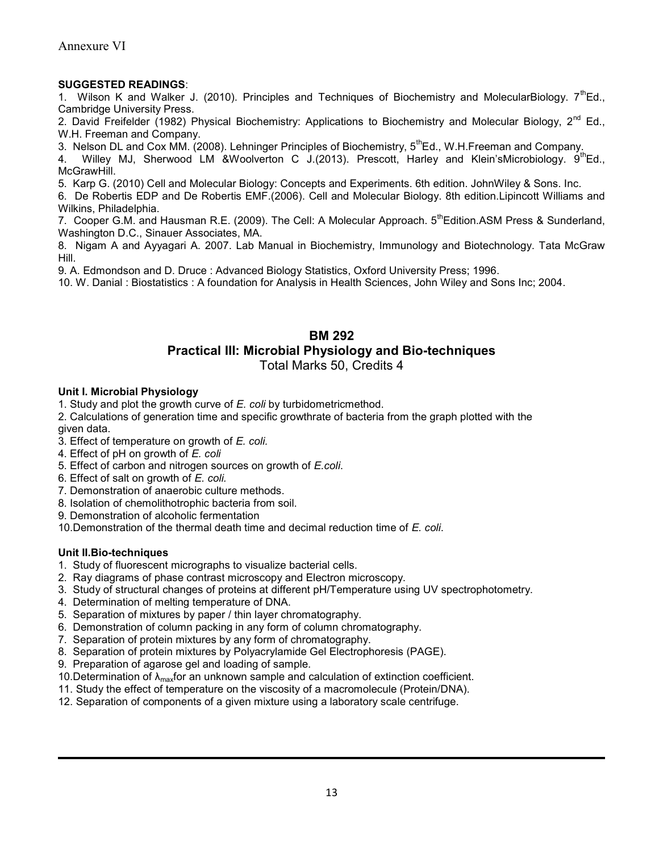### SUGGESTED READINGS:

1. Wilson K and Walker J. (2010). Principles and Techniques of Biochemistry and MolecularBiology.  $7<sup>th</sup>Ed.$ , Cambridge University Press.

2. David Freifelder (1982) Physical Biochemistry: Applications to Biochemistry and Molecular Biology, 2<sup>nd</sup> Ed., W.H. Freeman and Company.

3. Nelson DL and Cox MM. (2008). Lehninger Principles of Biochemistry, 5<sup>th</sup>Ed., W.H.Freeman and Company.

4. Willey MJ, Sherwood LM &Woolverton C J.(2013). Prescott, Harley and Klein'sMicrobiology.  $9^{\text{th}}$ Ed., McGrawHill.

5. Karp G. (2010) Cell and Molecular Biology: Concepts and Experiments. 6th edition. JohnWiley & Sons. Inc.

6. De Robertis EDP and De Robertis EMF.(2006). Cell and Molecular Biology. 8th edition.Lipincott Williams and Wilkins, Philadelphia.

7. Cooper G.M. and Hausman R.E. (2009). The Cell: A Molecular Approach. 5<sup>th</sup>Edition.ASM Press & Sunderland, Washington D.C., Sinauer Associates, MA.

8. Nigam A and Ayyagari A. 2007. Lab Manual in Biochemistry, Immunology and Biotechnology. Tata McGraw Hill.

9. A. Edmondson and D. Druce : Advanced Biology Statistics, Oxford University Press; 1996.

10. W. Danial : Biostatistics : A foundation for Analysis in Health Sciences, John Wiley and Sons Inc; 2004.

# BM 292 Practical III: Microbial Physiology and Bio-techniques

Total Marks 50, Credits 4

### Unit I. Microbial Physiology

1. Study and plot the growth curve of  $E$ . coli by turbidometricmethod.

2. Calculations of generation time and specific growthrate of bacteria from the graph plotted with the given data.

- 3. Effect of temperature on growth of E. coli.
- 4. Effect of pH on growth of E. coli
- 5. Effect of carbon and nitrogen sources on growth of E.coli.
- 6. Effect of salt on growth of E. coli.
- 7. Demonstration of anaerobic culture methods.
- 8. Isolation of chemolithotrophic bacteria from soil.
- 9. Demonstration of alcoholic fermentation
- 10.Demonstration of the thermal death time and decimal reduction time of E. coli.

### Unit II.Bio-techniques

- 1. Study of fluorescent micrographs to visualize bacterial cells.
- 2. Ray diagrams of phase contrast microscopy and Electron microscopy.
- 3. Study of structural changes of proteins at different pH/Temperature using UV spectrophotometry.
- 4. Determination of melting temperature of DNA.
- 5. Separation of mixtures by paper / thin layer chromatography.
- 6. Demonstration of column packing in any form of column chromatography.
- 7. Separation of protein mixtures by any form of chromatography.
- 8. Separation of protein mixtures by Polyacrylamide Gel Electrophoresis (PAGE).
- 9. Preparation of agarose gel and loading of sample.
- 10. Determination of  $\lambda_{\text{max}}$ for an unknown sample and calculation of extinction coefficient.
- 11. Study the effect of temperature on the viscosity of a macromolecule (Protein/DNA).
- 12. Separation of components of a given mixture using a laboratory scale centrifuge.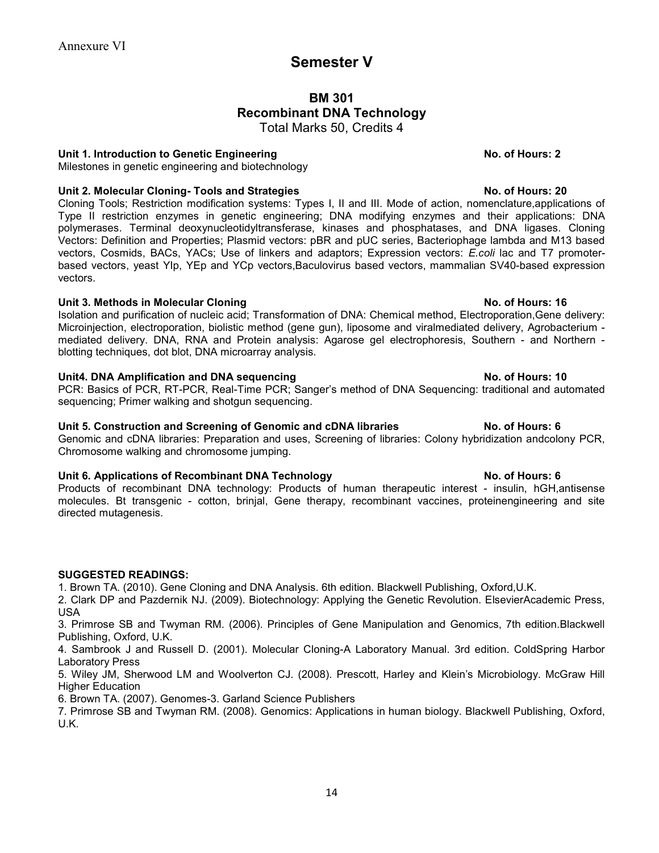# Semester V

# BM 301 Recombinant DNA Technology

Total Marks 50, Credits 4

### Unit 1. Introduction to Genetic Engineering No. of Hours: 2

Milestones in genetic engineering and biotechnology

### Unit 2. Molecular Cloning- Tools and Strategies No. of Hours: 20

Cloning Tools; Restriction modification systems: Types I, II and III. Mode of action, nomenclature,applications of Type II restriction enzymes in genetic engineering; DNA modifying enzymes and their applications: DNA polymerases. Terminal deoxynucleotidyltransferase, kinases and phosphatases, and DNA ligases. Cloning Vectors: Definition and Properties; Plasmid vectors: pBR and pUC series, Bacteriophage lambda and M13 based vectors, Cosmids, BACs, YACs; Use of linkers and adaptors; Expression vectors: E.coli lac and T7 promoterbased vectors, yeast YIp, YEp and YCp vectors,Baculovirus based vectors, mammalian SV40-based expression vectors.

### Unit 3. Methods in Molecular Cloning No. of Hours: 16

Isolation and purification of nucleic acid; Transformation of DNA: Chemical method, Electroporation,Gene delivery: Microinjection, electroporation, biolistic method (gene gun), liposome and viralmediated delivery, Agrobacterium mediated delivery. DNA, RNA and Protein analysis: Agarose gel electrophoresis, Southern - and Northern blotting techniques, dot blot, DNA microarray analysis.

### Unit4. DNA Amplification and DNA sequencing No. of Hours: 10

PCR: Basics of PCR, RT-PCR, Real-Time PCR; Sanger's method of DNA Sequencing: traditional and automated sequencing; Primer walking and shotgun sequencing.

### Unit 5. Construction and Screening of Genomic and cDNA libraries No. of Hours: 6

Genomic and cDNA libraries: Preparation and uses, Screening of libraries: Colony hybridization andcolony PCR, Chromosome walking and chromosome jumping.

### Unit 6. Applications of Recombinant DNA Technology No. of Hours: 6

Products of recombinant DNA technology: Products of human therapeutic interest - insulin, hGH,antisense molecules. Bt transgenic - cotton, brinjal, Gene therapy, recombinant vaccines, proteinengineering and site directed mutagenesis.

### SUGGESTED READINGS:

1. Brown TA. (2010). Gene Cloning and DNA Analysis. 6th edition. Blackwell Publishing, Oxford,U.K.

2. Clark DP and Pazdernik NJ. (2009). Biotechnology: Applying the Genetic Revolution. ElsevierAcademic Press, USA

3. Primrose SB and Twyman RM. (2006). Principles of Gene Manipulation and Genomics, 7th edition.Blackwell Publishing, Oxford, U.K.

4. Sambrook J and Russell D. (2001). Molecular Cloning-A Laboratory Manual. 3rd edition. ColdSpring Harbor Laboratory Press

5. Wiley JM, Sherwood LM and Woolverton CJ. (2008). Prescott, Harley and Klein's Microbiology. McGraw Hill Higher Education

6. Brown TA. (2007). Genomes-3. Garland Science Publishers

7. Primrose SB and Twyman RM. (2008). Genomics: Applications in human biology. Blackwell Publishing, Oxford, U.K.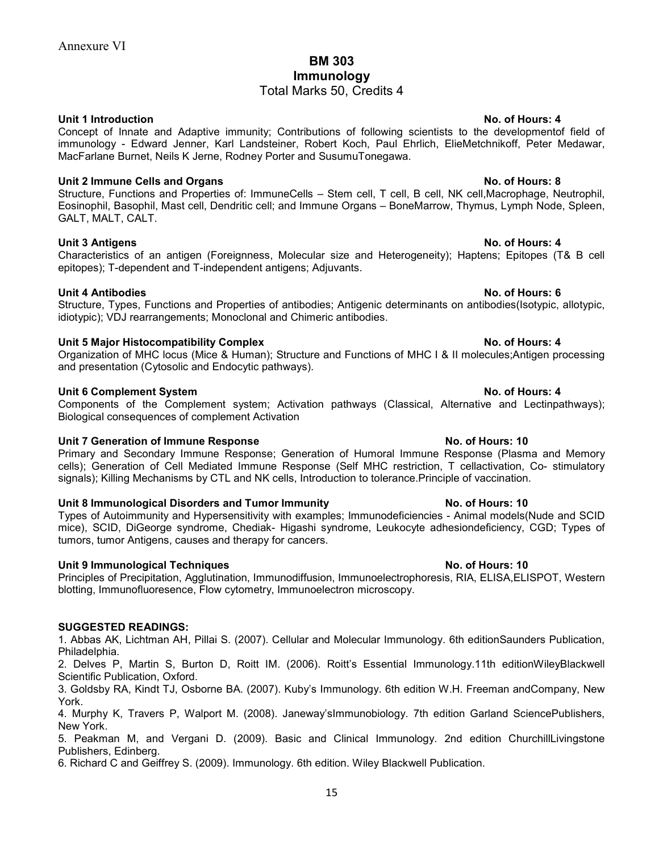# BM 303 Immunology

## Total Marks 50, Credits 4

### Unit 1 Introduction No. of Hours: 4

Concept of Innate and Adaptive immunity; Contributions of following scientists to the developmentof field of immunology - Edward Jenner, Karl Landsteiner, Robert Koch, Paul Ehrlich, ElieMetchnikoff, Peter Medawar, MacFarlane Burnet, Neils K Jerne, Rodney Porter and SusumuTonegawa.

### Unit 2 Immune Cells and Organs No. of Hours: 8

Structure, Functions and Properties of: ImmuneCells – Stem cell, T cell, B cell, NK cell,Macrophage, Neutrophil, Eosinophil, Basophil, Mast cell, Dendritic cell; and Immune Organs – BoneMarrow, Thymus, Lymph Node, Spleen, GALT, MALT, CALT.

### Unit 3 Antigens No. of Hours: 4

Characteristics of an antigen (Foreignness, Molecular size and Heterogeneity); Haptens; Epitopes (T& B cell epitopes); T-dependent and T-independent antigens; Adjuvants.

### Unit 4 Antibodies No. of Hours: 6

Structure, Types, Functions and Properties of antibodies; Antigenic determinants on antibodies(Isotypic, allotypic, idiotypic); VDJ rearrangements; Monoclonal and Chimeric antibodies.

### Unit 5 Major Histocompatibility Complex No. of Hours: 4

Organization of MHC locus (Mice & Human); Structure and Functions of MHC I & II molecules;Antigen processing and presentation (Cytosolic and Endocytic pathways).

### Unit 6 Complement System No. of Hours: 4

Components of the Complement system; Activation pathways (Classical, Alternative and Lectinpathways); Biological consequences of complement Activation

### Unit 7 Generation of Immune Response No. of Hours: 10

Primary and Secondary Immune Response; Generation of Humoral Immune Response (Plasma and Memory cells); Generation of Cell Mediated Immune Response (Self MHC restriction, T cellactivation, Co- stimulatory signals); Killing Mechanisms by CTL and NK cells, Introduction to tolerance.Principle of vaccination.

### Unit 8 Immunological Disorders and Tumor Immunity No. of Hours: 10

Types of Autoimmunity and Hypersensitivity with examples; Immunodeficiencies - Animal models(Nude and SCID mice), SCID, DiGeorge syndrome, Chediak- Higashi syndrome, Leukocyte adhesiondeficiency, CGD; Types of tumors, tumor Antigens, causes and therapy for cancers.

### Unit 9 Immunological Techniques No. of Hours: 10

Principles of Precipitation, Agglutination, Immunodiffusion, Immunoelectrophoresis, RIA, ELISA,ELISPOT, Western blotting, Immunofluoresence, Flow cytometry, Immunoelectron microscopy.

### SUGGESTED READINGS:

1. Abbas AK, Lichtman AH, Pillai S. (2007). Cellular and Molecular Immunology. 6th editionSaunders Publication, Philadelphia.

2. Delves P, Martin S, Burton D, Roitt IM. (2006). Roitt's Essential Immunology.11th editionWileyBlackwell Scientific Publication, Oxford.

3. Goldsby RA, Kindt TJ, Osborne BA. (2007). Kuby's Immunology. 6th edition W.H. Freeman andCompany, New York.

4. Murphy K, Travers P, Walport M. (2008). Janeway'sImmunobiology. 7th edition Garland SciencePublishers, New York.

5. Peakman M, and Vergani D. (2009). Basic and Clinical Immunology. 2nd edition ChurchillLivingstone Publishers, Edinberg.

6. Richard C and Geiffrey S. (2009). Immunology. 6th edition. Wiley Blackwell Publication.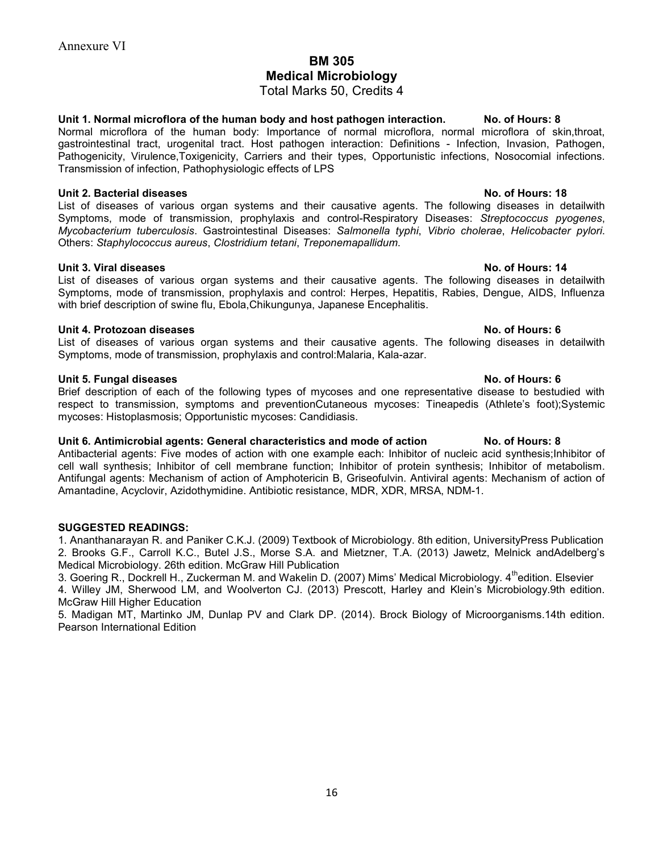# BM 305 Medical Microbiology

Total Marks 50, Credits 4

Unit 1. Normal microflora of the human body and host pathogen interaction. No. of Hours: 8 Normal microflora of the human body: Importance of normal microflora, normal microflora of skin,throat, gastrointestinal tract, urogenital tract. Host pathogen interaction: Definitions - Infection, Invasion, Pathogen, Pathogenicity, Virulence,Toxigenicity, Carriers and their types, Opportunistic infections, Nosocomial infections. Transmission of infection, Pathophysiologic effects of LPS

### Unit 2. Bacterial diseases No. of Hours: 18

List of diseases of various organ systems and their causative agents. The following diseases in detailwith Symptoms, mode of transmission, prophylaxis and control-Respiratory Diseases: Streptococcus pyogenes, Mycobacterium tuberculosis. Gastrointestinal Diseases: Salmonella typhi, Vibrio cholerae, Helicobacter pylori. Others: Staphylococcus aureus, Clostridium tetani, Treponemapallidum.

### Unit 3. Viral diseases No. of Hours: 14

List of diseases of various organ systems and their causative agents. The following diseases in detailwith Symptoms, mode of transmission, prophylaxis and control: Herpes, Hepatitis, Rabies, Dengue, AIDS, Influenza with brief description of swine flu, Ebola,Chikungunya, Japanese Encephalitis.

### Unit 4. Protozoan diseases No. of Hours: 6

List of diseases of various organ systems and their causative agents. The following diseases in detailwith Symptoms, mode of transmission, prophylaxis and control:Malaria, Kala-azar.

### Unit 5. Fungal diseases No. of Hours: 6

Brief description of each of the following types of mycoses and one representative disease to bestudied with respect to transmission, symptoms and preventionCutaneous mycoses: Tineapedis (Athlete's foot);Systemic mycoses: Histoplasmosis; Opportunistic mycoses: Candidiasis.

### Unit 6. Antimicrobial agents: General characteristics and mode of action No. of Hours: 8

Antibacterial agents: Five modes of action with one example each: Inhibitor of nucleic acid synthesis;Inhibitor of cell wall synthesis; Inhibitor of cell membrane function; Inhibitor of protein synthesis; Inhibitor of metabolism. Antifungal agents: Mechanism of action of Amphotericin B, Griseofulvin. Antiviral agents: Mechanism of action of Amantadine, Acyclovir, Azidothymidine. Antibiotic resistance, MDR, XDR, MRSA, NDM-1.

### SUGGESTED READINGS:

1. Ananthanarayan R. and Paniker C.K.J. (2009) Textbook of Microbiology. 8th edition, UniversityPress Publication 2. Brooks G.F., Carroll K.C., Butel J.S., Morse S.A. and Mietzner, T.A. (2013) Jawetz, Melnick andAdelberg's Medical Microbiology. 26th edition. McGraw Hill Publication

3. Goering R., Dockrell H., Zuckerman M. and Wakelin D. (2007) Mims' Medical Microbiology. 4<sup>th</sup>edition. Elsevier 4. Willey JM, Sherwood LM, and Woolverton CJ. (2013) Prescott, Harley and Klein's Microbiology.9th edition. McGraw Hill Higher Education

5. Madigan MT, Martinko JM, Dunlap PV and Clark DP. (2014). Brock Biology of Microorganisms.14th edition. Pearson International Edition

16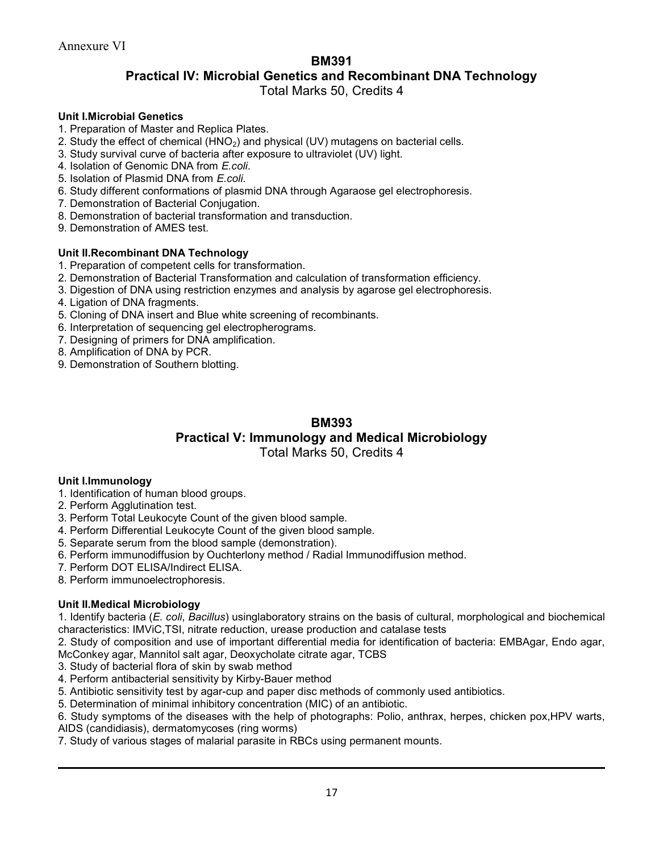### BM391

## Practical IV: Microbial Genetics and Recombinant DNA Technology

Total Marks 50, Credits 4

### Unit I.Microbial Genetics

- 1. Preparation of Master and Replica Plates.
- 2. Study the effect of chemical  $(HNO<sub>2</sub>)$  and physical  $(UV)$  mutagens on bacterial cells.
- 3. Study survival curve of bacteria after exposure to ultraviolet (UV) light.
- 4. Isolation of Genomic DNA from E.coli.
- 5. Isolation of Plasmid DNA from E.coli.
- 6. Study different conformations of plasmid DNA through Agaraose gel electrophoresis.
- 7. Demonstration of Bacterial Conjugation.
- 8. Demonstration of bacterial transformation and transduction.
- 9. Demonstration of AMES test.

### Unit II.Recombinant DNA Technology

- 1. Preparation of competent cells for transformation.
- 2. Demonstration of Bacterial Transformation and calculation of transformation efficiency.
- 3. Digestion of DNA using restriction enzymes and analysis by agarose gel electrophoresis.
- 4. Ligation of DNA fragments.
- 5. Cloning of DNA insert and Blue white screening of recombinants.
- 6. Interpretation of sequencing gel electropherograms.
- 7. Designing of primers for DNA amplification.
- 8. Amplification of DNA by PCR.
- 9. Demonstration of Southern blotting.

## BM393 Practical V: Immunology and Medical Microbiology

Total Marks 50, Credits 4

### Unit I.Immunology

- 1. Identification of human blood groups.
- 2. Perform Agglutination test.
- 3. Perform Total Leukocyte Count of the given blood sample.
- 4. Perform Differential Leukocyte Count of the given blood sample.
- 5. Separate serum from the blood sample (demonstration).
- 6. Perform immunodiffusion by Ouchterlony method / Radial Immunodiffusion method.
- 7. Perform DOT ELISA/Indirect ELISA.
- 8. Perform immunoelectrophoresis.

### Unit II.Medical Microbiology

1. Identify bacteria (E. coli, Bacillus) usinglaboratory strains on the basis of cultural, morphological and biochemical characteristics: IMViC,TSI, nitrate reduction, urease production and catalase tests

2. Study of composition and use of important differential media for identification of bacteria: EMBAgar, Endo agar, McConkey agar, Mannitol salt agar, Deoxycholate citrate agar, TCBS

- 3. Study of bacterial flora of skin by swab method
- 4. Perform antibacterial sensitivity by Kirby-Bauer method
- 5. Antibiotic sensitivity test by agar-cup and paper disc methods of commonly used antibiotics.
- 5. Determination of minimal inhibitory concentration (MIC) of an antibiotic.
- 6. Study symptoms of the diseases with the help of photographs: Polio, anthrax, herpes, chicken pox,HPV warts,
- AIDS (candidiasis), dermatomycoses (ring worms)
- 7. Study of various stages of malarial parasite in RBCs using permanent mounts.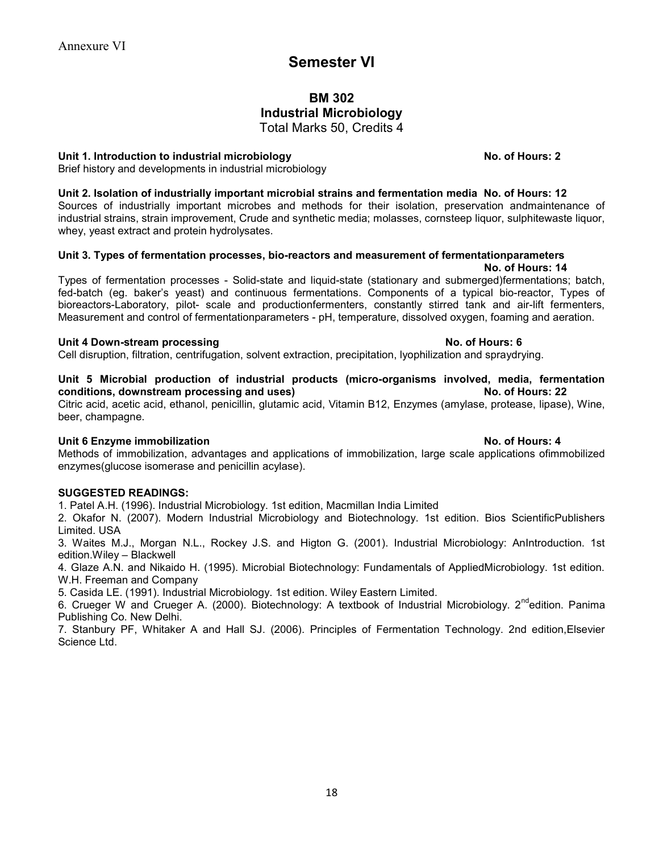# Semester VI

### BM 302 Industrial Microbiology Total Marks 50, Credits 4

Unit 1. Introduction to industrial microbiology No. of Hours: 2

Brief history and developments in industrial microbiology

Unit 2. Isolation of industrially important microbial strains and fermentation media No. of Hours: 12

Sources of industrially important microbes and methods for their isolation, preservation andmaintenance of industrial strains, strain improvement, Crude and synthetic media; molasses, cornsteep liquor, sulphitewaste liquor, whey, yeast extract and protein hydrolysates.

### Unit 3. Types of fermentation processes, bio-reactors and measurement of fermentationparameters No. of Hours: 14

Types of fermentation processes - Solid-state and liquid-state (stationary and submerged)fermentations; batch, fed-batch (eg. baker's yeast) and continuous fermentations. Components of a typical bio-reactor, Types of bioreactors-Laboratory, pilot- scale and productionfermenters, constantly stirred tank and air-lift fermenters, Measurement and control of fermentationparameters - pH, temperature, dissolved oxygen, foaming and aeration.

### Unit 4 Down-stream processing No. of Hours: 6

Cell disruption, filtration, centrifugation, solvent extraction, precipitation, lyophilization and spraydrying.

### Unit 5 Microbial production of industrial products (micro-organisms involved, media, fermentation conditions, downstream processing and uses) No. of Hours: 22

Citric acid, acetic acid, ethanol, penicillin, glutamic acid, Vitamin B12, Enzymes (amylase, protease, lipase), Wine, beer, champagne.

### Unit 6 Enzyme immobilization No. of Hours: 4

Methods of immobilization, advantages and applications of immobilization, large scale applications ofimmobilized enzymes(glucose isomerase and penicillin acylase).

### SUGGESTED READINGS:

1. Patel A.H. (1996). Industrial Microbiology. 1st edition, Macmillan India Limited

2. Okafor N. (2007). Modern Industrial Microbiology and Biotechnology. 1st edition. Bios ScientificPublishers Limited. USA

3. Waites M.J., Morgan N.L., Rockey J.S. and Higton G. (2001). Industrial Microbiology: AnIntroduction. 1st edition.Wiley – Blackwell

4. Glaze A.N. and Nikaido H. (1995). Microbial Biotechnology: Fundamentals of AppliedMicrobiology. 1st edition. W.H. Freeman and Company

5. Casida LE. (1991). Industrial Microbiology. 1st edition. Wiley Eastern Limited.

6. Crueger W and Crueger A. (2000). Biotechnology: A textbook of Industrial Microbiology. 2<sup>nd</sup>edition. Panima Publishing Co. New Delhi.

7. Stanbury PF, Whitaker A and Hall SJ. (2006). Principles of Fermentation Technology. 2nd edition,Elsevier Science Ltd.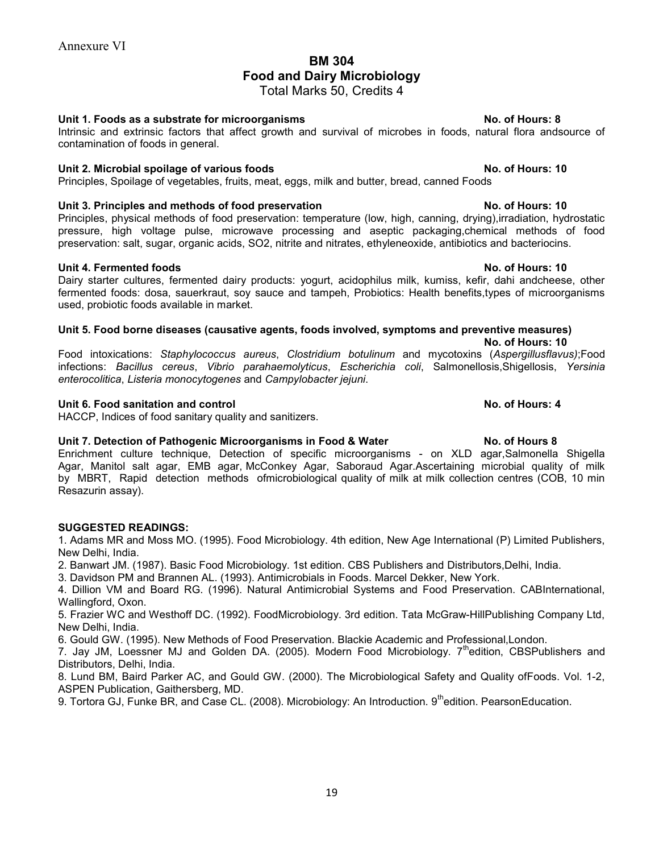### BM 304 Food and Dairy Microbiology

Total Marks 50, Credits 4

### Unit 1. Foods as a substrate for microorganisms No. of Hours: 8

Intrinsic and extrinsic factors that affect growth and survival of microbes in foods, natural flora andsource of contamination of foods in general.

### Unit 2. Microbial spoilage of various foods No. of Hours: 10

Principles, Spoilage of vegetables, fruits, meat, eggs, milk and butter, bread, canned Foods

### Unit 3. Principles and methods of food preservation No. of Hours: 10

Principles, physical methods of food preservation: temperature (low, high, canning, drying),irradiation, hydrostatic pressure, high voltage pulse, microwave processing and aseptic packaging,chemical methods of food preservation: salt, sugar, organic acids, SO2, nitrite and nitrates, ethyleneoxide, antibiotics and bacteriocins.

### Unit 4. Fermented foods No. of Hours: 10

Dairy starter cultures, fermented dairy products: yogurt, acidophilus milk, kumiss, kefir, dahi andcheese, other fermented foods: dosa, sauerkraut, soy sauce and tampeh, Probiotics: Health benefits,types of microorganisms used, probiotic foods available in market.

### Unit 5. Food borne diseases (causative agents, foods involved, symptoms and preventive measures) No. of Hours: 10

Food intoxications: Staphylococcus aureus, Clostridium botulinum and mycotoxins (Aspergillusflavus);Food infections: Bacillus cereus, Vibrio parahaemolyticus, Escherichia coli, Salmonellosis,Shigellosis, Yersinia enterocolitica, Listeria monocytogenes and Campylobacter jejuni.

### Unit 6. Food sanitation and control No. of Hours: 4

HACCP, Indices of food sanitary quality and sanitizers.

### Unit 7. Detection of Pathogenic Microorganisms in Food & Water No. of Hours 8

Enrichment culture technique, Detection of specific microorganisms - on XLD agar,Salmonella Shigella Agar, Manitol salt agar, EMB agar, McConkey Agar, Saboraud Agar.Ascertaining microbial quality of milk by MBRT, Rapid detection methods ofmicrobiological quality of milk at milk collection centres (COB, 10 min Resazurin assay).

### SUGGESTED READINGS:

1. Adams MR and Moss MO. (1995). Food Microbiology. 4th edition, New Age International (P) Limited Publishers, New Delhi, India.

2. Banwart JM. (1987). Basic Food Microbiology. 1st edition. CBS Publishers and Distributors,Delhi, India.

3. Davidson PM and Brannen AL. (1993). Antimicrobials in Foods. Marcel Dekker, New York.

4. Dillion VM and Board RG. (1996). Natural Antimicrobial Systems and Food Preservation. CABInternational, Wallingford, Oxon.

5. Frazier WC and Westhoff DC. (1992). FoodMicrobiology. 3rd edition. Tata McGraw-HillPublishing Company Ltd, New Delhi, India.

6. Gould GW. (1995). New Methods of Food Preservation. Blackie Academic and Professional,London.

7. Jay JM, Loessner MJ and Golden DA. (2005). Modern Food Microbiology. 7<sup>th</sup>edition, CBSPublishers and Distributors, Delhi, India.

8. Lund BM, Baird Parker AC, and Gould GW. (2000). The Microbiological Safety and Quality ofFoods. Vol. 1-2, ASPEN Publication, Gaithersberg, MD.

9. Tortora GJ, Funke BR, and Case CL. (2008). Microbiology: An Introduction. 9<sup>th</sup>edition. PearsonEducation.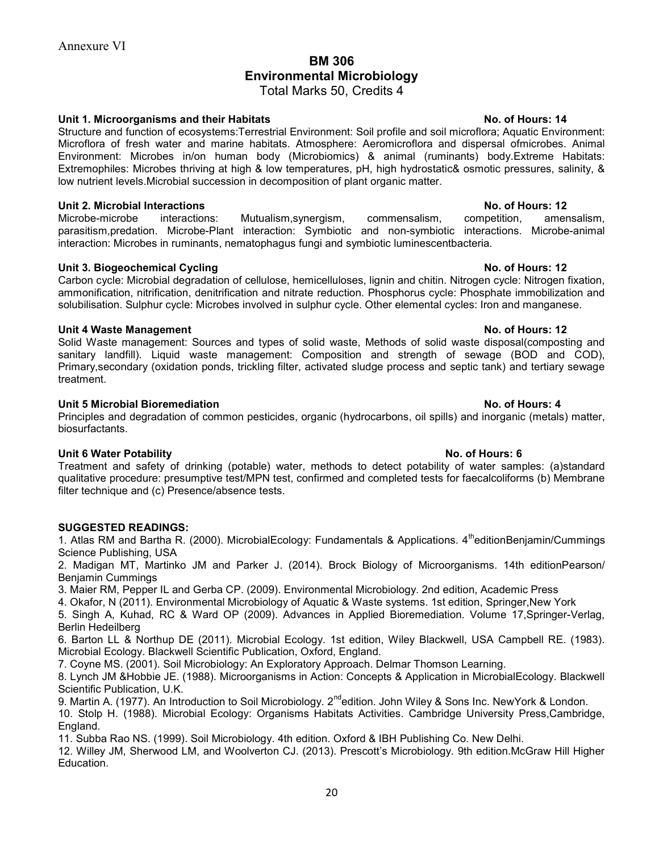## BM 306 Environmental Microbiology

Total Marks 50, Credits 4

### Unit 1. Microorganisms and their Habitats No. of Hours: 14

Structure and function of ecosystems:Terrestrial Environment: Soil profile and soil microflora; Aquatic Environment: Microflora of fresh water and marine habitats. Atmosphere: Aeromicroflora and dispersal ofmicrobes. Animal Environment: Microbes in/on human body (Microbiomics) & animal (ruminants) body.Extreme Habitats: Extremophiles: Microbes thriving at high & low temperatures, pH, high hydrostatic& osmotic pressures, salinity, & low nutrient levels.Microbial succession in decomposition of plant organic matter.

### Unit 2. Microbial Interactions No. of Hours: 12

Microbe-microbe interactions: Mutualism,synergism, commensalism, competition, amensalism, parasitism,predation. Microbe-Plant interaction: Symbiotic and non-symbiotic interactions. Microbe-animal interaction: Microbes in ruminants, nematophagus fungi and symbiotic luminescentbacteria.

### Unit 3. Biogeochemical Cycling No. of Hours: 12

Carbon cycle: Microbial degradation of cellulose, hemicelluloses, lignin and chitin. Nitrogen cycle: Nitrogen fixation, ammonification, nitrification, denitrification and nitrate reduction. Phosphorus cycle: Phosphate immobilization and solubilisation. Sulphur cycle: Microbes involved in sulphur cycle. Other elemental cycles: Iron and manganese.

### Unit 4 Waste Management No. of Hours: 12

Solid Waste management: Sources and types of solid waste, Methods of solid waste disposal(composting and sanitary landfill). Liquid waste management: Composition and strength of sewage (BOD and COD), Primary,secondary (oxidation ponds, trickling filter, activated sludge process and septic tank) and tertiary sewage treatment.

### Unit 5 Microbial Bioremediation No. of Hours: 4

Principles and degradation of common pesticides, organic (hydrocarbons, oil spills) and inorganic (metals) matter, biosurfactants.

### Unit 6 Water Potability No. of Hours: 6

Treatment and safety of drinking (potable) water, methods to detect potability of water samples: (a)standard qualitative procedure: presumptive test/MPN test, confirmed and completed tests for faecalcoliforms (b) Membrane filter technique and (c) Presence/absence tests.

### SUGGESTED READINGS:

1. Atlas RM and Bartha R. (2000). MicrobialEcology: Fundamentals & Applications. 4<sup>th</sup>editionBenjamin/Cummings Science Publishing, USA

2. Madigan MT, Martinko JM and Parker J. (2014). Brock Biology of Microorganisms. 14th editionPearson/ Benjamin Cummings

3. Maier RM, Pepper IL and Gerba CP. (2009). Environmental Microbiology. 2nd edition, Academic Press

4. Okafor, N (2011). Environmental Microbiology of Aquatic & Waste systems. 1st edition, Springer,New York

5. Singh A, Kuhad, RC & Ward OP (2009). Advances in Applied Bioremediation. Volume 17,Springer-Verlag, Berlin Hedeilberg

6. Barton LL & Northup DE (2011). Microbial Ecology. 1st edition, Wiley Blackwell, USA Campbell RE. (1983). Microbial Ecology. Blackwell Scientific Publication, Oxford, England.

7. Coyne MS. (2001). Soil Microbiology: An Exploratory Approach. Delmar Thomson Learning.

8. Lynch JM &Hobbie JE. (1988). Microorganisms in Action: Concepts & Application in MicrobialEcology. Blackwell Scientific Publication, U.K.

9. Martin A. (1977). An Introduction to Soil Microbiology. 2<sup>nd</sup>edition. John Wiley & Sons Inc. NewYork & London.

10. Stolp H. (1988). Microbial Ecology: Organisms Habitats Activities. Cambridge University Press,Cambridge, England.

11. Subba Rao NS. (1999). Soil Microbiology. 4th edition. Oxford & IBH Publishing Co. New Delhi.

12. Willey JM, Sherwood LM, and Woolverton CJ. (2013). Prescott's Microbiology. 9th edition.McGraw Hill Higher Education.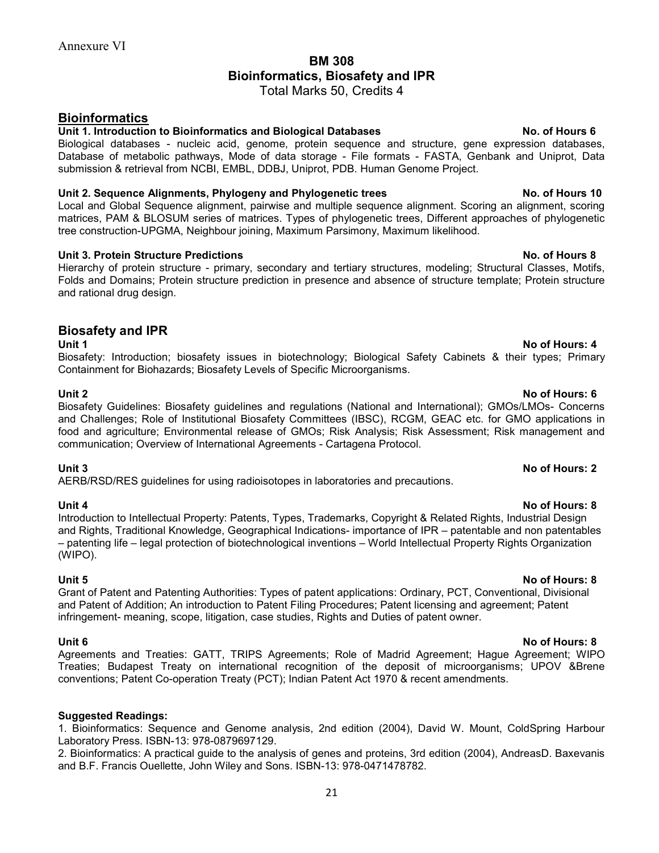# BM 308 Bioinformatics, Biosafety and IPR

Total Marks 50, Credits 4

## **Bioinformatics**

### Unit 1. Introduction to Bioinformatics and Biological Databases No. of Hours 6

Biological databases - nucleic acid, genome, protein sequence and structure, gene expression databases, Database of metabolic pathways, Mode of data storage - File formats - FASTA, Genbank and Uniprot, Data submission & retrieval from NCBI, EMBL, DDBJ, Uniprot, PDB. Human Genome Project.

### Unit 2. Sequence Alignments, Phylogeny and Phylogenetic trees No. of Hours 10

Local and Global Sequence alignment, pairwise and multiple sequence alignment. Scoring an alignment, scoring matrices, PAM & BLOSUM series of matrices. Types of phylogenetic trees, Different approaches of phylogenetic tree construction-UPGMA, Neighbour joining, Maximum Parsimony, Maximum likelihood.

### Unit 3. Protein Structure Predictions No. of Hours 8

Hierarchy of protein structure - primary, secondary and tertiary structures, modeling; Structural Classes, Motifs, Folds and Domains; Protein structure prediction in presence and absence of structure template; Protein structure and rational drug design.

### Biosafety and IPR

Biosafety: Introduction; biosafety issues in biotechnology; Biological Safety Cabinets & their types; Primary Containment for Biohazards; Biosafety Levels of Specific Microorganisms.

Biosafety Guidelines: Biosafety guidelines and regulations (National and International); GMOs/LMOs- Concerns and Challenges; Role of Institutional Biosafety Committees (IBSC), RCGM, GEAC etc. for GMO applications in food and agriculture; Environmental release of GMOs; Risk Analysis; Risk Assessment; Risk management and communication; Overview of International Agreements - Cartagena Protocol.

Unit 3 No of Hours: 2 AERB/RSD/RES guidelines for using radioisotopes in laboratories and precautions.

Introduction to Intellectual Property: Patents, Types, Trademarks, Copyright & Related Rights, Industrial Design and Rights, Traditional Knowledge, Geographical Indications- importance of IPR – patentable and non patentables – patenting life – legal protection of biotechnological inventions – World Intellectual Property Rights Organization (WIPO).

Unit 5 No of Hours: 8 Grant of Patent and Patenting Authorities: Types of patent applications: Ordinary, PCT, Conventional, Divisional and Patent of Addition; An introduction to Patent Filing Procedures; Patent licensing and agreement; Patent infringement- meaning, scope, litigation, case studies, Rights and Duties of patent owner.

Agreements and Treaties: GATT, TRIPS Agreements; Role of Madrid Agreement; Hague Agreement; WIPO Treaties; Budapest Treaty on international recognition of the deposit of microorganisms; UPOV &Brene conventions; Patent Co-operation Treaty (PCT); Indian Patent Act 1970 & recent amendments.

### Suggested Readings:

1. Bioinformatics: Sequence and Genome analysis, 2nd edition (2004), David W. Mount, ColdSpring Harbour Laboratory Press. ISBN-13: 978-0879697129.

2. Bioinformatics: A practical guide to the analysis of genes and proteins, 3rd edition (2004), AndreasD. Baxevanis and B.F. Francis Ouellette, John Wiley and Sons. ISBN-13: 978-0471478782.

### Unit 1 No. of Hours: 4

### Unit 2 No of Hours: 6

# Unit 4 No of Hours: 8

### 21

## Unit 6 No of Hours: 8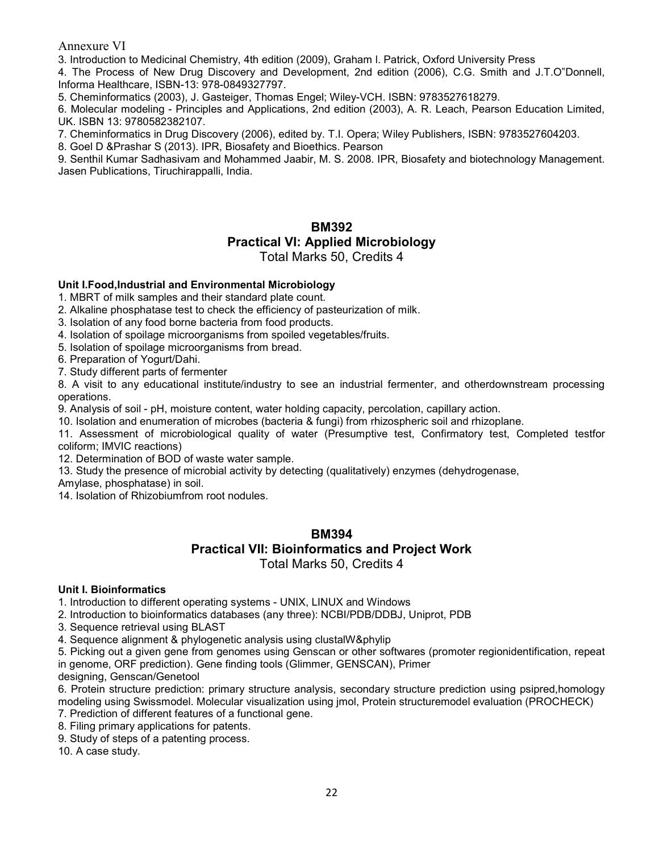3. Introduction to Medicinal Chemistry, 4th edition (2009), Graham l. Patrick, Oxford University Press

4. The Process of New Drug Discovery and Development, 2nd edition (2006), C.G. Smith and J.T.O"Donnell, Informa Healthcare, ISBN-13: 978-0849327797.

5. Cheminformatics (2003), J. Gasteiger, Thomas Engel; Wiley-VCH. ISBN: 9783527618279.

6. Molecular modeling - Principles and Applications, 2nd edition (2003), A. R. Leach, Pearson Education Limited, UK. ISBN 13: 9780582382107.

7. Cheminformatics in Drug Discovery (2006), edited by. T.I. Opera; Wiley Publishers, ISBN: 9783527604203.

8. Goel D &Prashar S (2013). IPR, Biosafety and Bioethics. Pearson

9. Senthil Kumar Sadhasivam and Mohammed Jaabir, M. S. 2008. IPR, Biosafety and biotechnology Management. Jasen Publications, Tiruchirappalli, India.

## BM392 Practical VI: Applied Microbiology Total Marks 50, Credits 4

### Unit I.Food,Industrial and Environmental Microbiology

1. MBRT of milk samples and their standard plate count.

2. Alkaline phosphatase test to check the efficiency of pasteurization of milk.

3. Isolation of any food borne bacteria from food products.

4. Isolation of spoilage microorganisms from spoiled vegetables/fruits.

5. Isolation of spoilage microorganisms from bread.

6. Preparation of Yogurt/Dahi.

7. Study different parts of fermenter

8. A visit to any educational institute/industry to see an industrial fermenter, and otherdownstream processing operations.

9. Analysis of soil - pH, moisture content, water holding capacity, percolation, capillary action.

10. Isolation and enumeration of microbes (bacteria & fungi) from rhizospheric soil and rhizoplane.

11. Assessment of microbiological quality of water (Presumptive test, Confirmatory test, Completed testfor coliform; IMVIC reactions)

12. Determination of BOD of waste water sample.

13. Study the presence of microbial activity by detecting (qualitatively) enzymes (dehydrogenase,

Amylase, phosphatase) in soil.

14. Isolation of Rhizobiumfrom root nodules.

### BM394 Practical VII: Bioinformatics and Project Work Total Marks 50, Credits 4

### Unit I. Bioinformatics

1. Introduction to different operating systems - UNIX, LINUX and Windows

2. Introduction to bioinformatics databases (any three): NCBI/PDB/DDBJ, Uniprot, PDB

3. Sequence retrieval using BLAST

4. Sequence alignment & phylogenetic analysis using clustalW&phylip

5. Picking out a given gene from genomes using Genscan or other softwares (promoter regionidentification, repeat in genome, ORF prediction). Gene finding tools (Glimmer, GENSCAN), Primer

designing, Genscan/Genetool

6. Protein structure prediction: primary structure analysis, secondary structure prediction using psipred,homology modeling using Swissmodel. Molecular visualization using jmol, Protein structuremodel evaluation (PROCHECK)

- 7. Prediction of different features of a functional gene.
- 8. Filing primary applications for patents.

9. Study of steps of a patenting process.

10. A case study.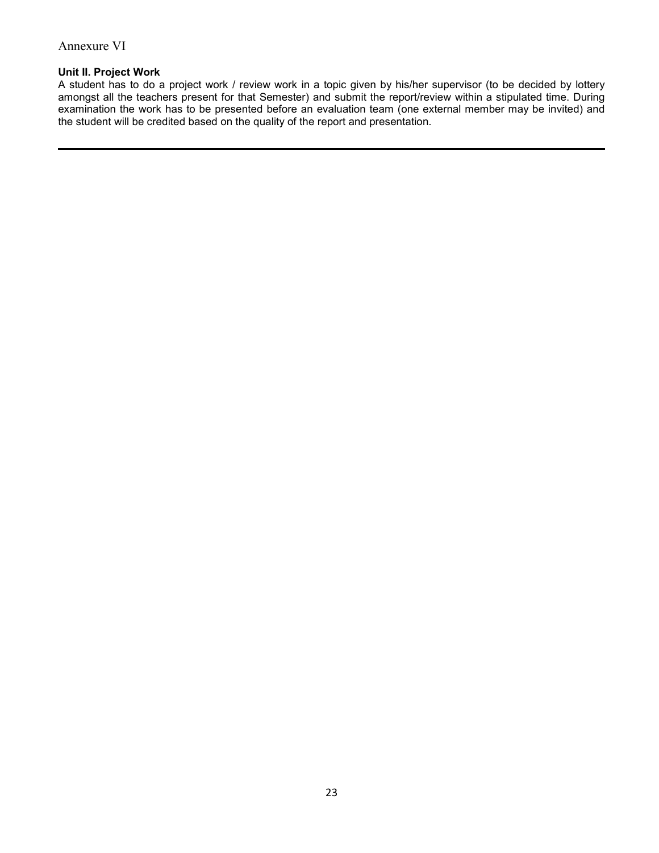### Unit II. Project Work

A student has to do a project work / review work in a topic given by his/her supervisor (to be decided by lottery amongst all the teachers present for that Semester) and submit the report/review within a stipulated time. During examination the work has to be presented before an evaluation team (one external member may be invited) and the student will be credited based on the quality of the report and presentation.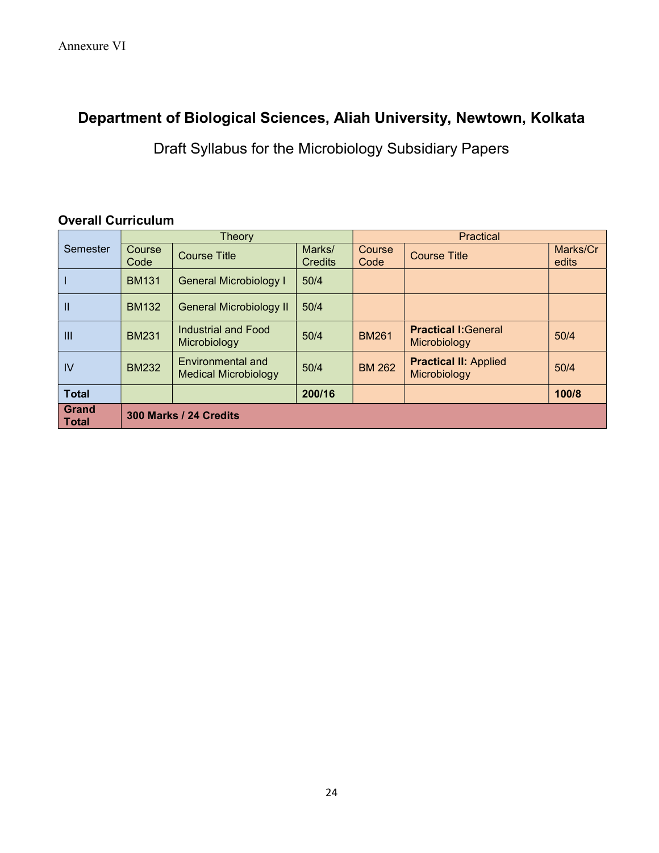# Department of Biological Sciences, Aliah University, Newtown, Kolkata

Draft Syllabus for the Microbiology Subsidiary Papers

# Overall Curriculum

| Semester              | Theory                        |                                                  |                          | Practical             |                                              |                   |  |  |
|-----------------------|-------------------------------|--------------------------------------------------|--------------------------|-----------------------|----------------------------------------------|-------------------|--|--|
|                       | <b>Course</b><br>Code         | <b>Course Title</b>                              | Marks/<br><b>Credits</b> | <b>Course</b><br>Code | <b>Course Title</b>                          | Marks/Cr<br>edits |  |  |
|                       | <b>BM131</b>                  | <b>General Microbiology I</b>                    | 50/4                     |                       |                                              |                   |  |  |
| Ш                     | <b>BM132</b>                  | General Microbiology II                          | 50/4                     |                       |                                              |                   |  |  |
| Ш                     | <b>BM231</b>                  | Industrial and Food<br>Microbiology              | 50/4                     | <b>BM261</b>          | <b>Practical I: General</b><br>Microbiology  | 50/4              |  |  |
| IV                    | <b>BM232</b>                  | Environmental and<br><b>Medical Microbiology</b> | 50/4                     | <b>BM 262</b>         | <b>Practical II: Applied</b><br>Microbiology | 50/4              |  |  |
| <b>Total</b>          |                               |                                                  | 200/16                   |                       |                                              | 100/8             |  |  |
| Grand<br><b>Total</b> | <b>300 Marks / 24 Credits</b> |                                                  |                          |                       |                                              |                   |  |  |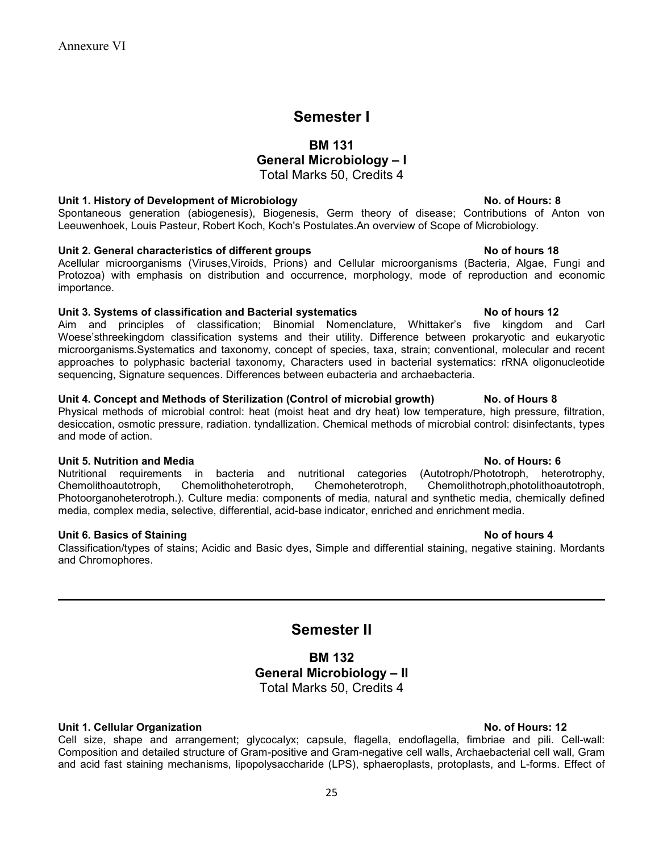# Semester I

### BM 131

# General Microbiology – I

Total Marks 50, Credits 4

### Unit 1. History of Development of Microbiology No. of Hours: 8

Spontaneous generation (abiogenesis), Biogenesis, Germ theory of disease; Contributions of Anton von Leeuwenhoek, Louis Pasteur, Robert Koch, Koch's Postulates.An overview of Scope of Microbiology.

### Unit 2. General characteristics of different groups November 2012 No of hours 18

Acellular microorganisms (Viruses,Viroids, Prions) and Cellular microorganisms (Bacteria, Algae, Fungi and Protozoa) with emphasis on distribution and occurrence, morphology, mode of reproduction and economic importance.

### Unit 3. Systems of classification and Bacterial systematics No of hours 12

Aim and principles of classification; Binomial Nomenclature, Whittaker's five kingdom and Carl Woese'sthreekingdom classification systems and their utility. Difference between prokaryotic and eukaryotic microorganisms.Systematics and taxonomy, concept of species, taxa, strain; conventional, molecular and recent approaches to polyphasic bacterial taxonomy, Characters used in bacterial systematics: rRNA oligonucleotide sequencing, Signature sequences. Differences between eubacteria and archaebacteria.

### Unit 4. Concept and Methods of Sterilization (Control of microbial growth) No. of Hours 8

Physical methods of microbial control: heat (moist heat and dry heat) low temperature, high pressure, filtration, desiccation, osmotic pressure, radiation. tyndallization. Chemical methods of microbial control: disinfectants, types and mode of action.

### Unit 5. Nutrition and Media No. of Hours: 6

Nutritional requirements in bacteria and nutritional categories (Autotroph/Phototroph, heterotrophy, Chemolithoautotroph, Chemolithoheterotroph, Chemoheterotroph, Chemolithotroph,photolithoautotroph, Photoorganoheterotroph.). Culture media: components of media, natural and synthetic media, chemically defined media, complex media, selective, differential, acid-base indicator, enriched and enrichment media.

### Unit 6. Basics of Staining No of hours 4

Classification/types of stains; Acidic and Basic dyes, Simple and differential staining, negative staining. Mordants and Chromophores.

# Semester II

## BM 132 General Microbiology – II Total Marks 50, Credits 4

### Unit 1. Cellular Organization No. of Hours: 12

Cell size, shape and arrangement; glycocalyx; capsule, flagella, endoflagella, fimbriae and pili. Cell-wall: Composition and detailed structure of Gram-positive and Gram-negative cell walls, Archaebacterial cell wall, Gram and acid fast staining mechanisms, lipopolysaccharide (LPS), sphaeroplasts, protoplasts, and L-forms. Effect of

25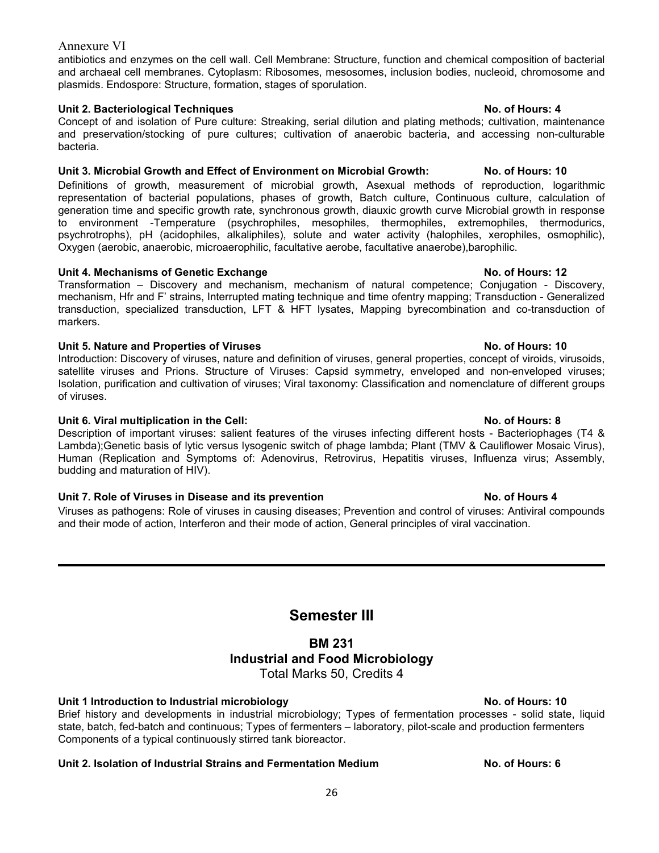antibiotics and enzymes on the cell wall. Cell Membrane: Structure, function and chemical composition of bacterial and archaeal cell membranes. Cytoplasm: Ribosomes, mesosomes, inclusion bodies, nucleoid, chromosome and plasmids. Endospore: Structure, formation, stages of sporulation.

### Unit 2. Bacteriological Techniques No. of Hours: 4

Concept of and isolation of Pure culture: Streaking, serial dilution and plating methods; cultivation, maintenance and preservation/stocking of pure cultures; cultivation of anaerobic bacteria, and accessing non-culturable bacteria.

### Unit 3. Microbial Growth and Effect of Environment on Microbial Growth: No. of Hours: 10

Definitions of growth, measurement of microbial growth, Asexual methods of reproduction, logarithmic representation of bacterial populations, phases of growth, Batch culture, Continuous culture, calculation of generation time and specific growth rate, synchronous growth, diauxic growth curve Microbial growth in response to environment -Temperature (psychrophiles, mesophiles, thermophiles, extremophiles, thermodurics, psychrotrophs), pH (acidophiles, alkaliphiles), solute and water activity (halophiles, xerophiles, osmophilic), Oxygen (aerobic, anaerobic, microaerophilic, facultative aerobe, facultative anaerobe),barophilic.

### Unit 4. Mechanisms of Genetic Exchange No. of Hours: 12

Transformation – Discovery and mechanism, mechanism of natural competence; Conjugation - Discovery, mechanism, Hfr and F' strains, Interrupted mating technique and time ofentry mapping; Transduction - Generalized transduction, specialized transduction, LFT & HFT lysates, Mapping byrecombination and co-transduction of markers.

### Unit 5. Nature and Properties of Viruses No. of Hours: 10

Introduction: Discovery of viruses, nature and definition of viruses, general properties, concept of viroids, virusoids, satellite viruses and Prions. Structure of Viruses: Capsid symmetry, enveloped and non-enveloped viruses; Isolation, purification and cultivation of viruses; Viral taxonomy: Classification and nomenclature of different groups of viruses.

### Unit 6. Viral multiplication in the Cell: No. of Hours: 8

Description of important viruses: salient features of the viruses infecting different hosts - Bacteriophages (T4 & Lambda);Genetic basis of lytic versus lysogenic switch of phage lambda; Plant (TMV & Cauliflower Mosaic Virus), Human (Replication and Symptoms of: Adenovirus, Retrovirus, Hepatitis viruses, Influenza virus; Assembly, budding and maturation of HIV).

### Unit 7. Role of Viruses in Disease and its prevention No. of Hours 4

Viruses as pathogens: Role of viruses in causing diseases; Prevention and control of viruses: Antiviral compounds and their mode of action, Interferon and their mode of action, General principles of viral vaccination.

# Semester III

## BM 231 Industrial and Food Microbiology Total Marks 50, Credits 4

### Unit 1 Introduction to Industrial microbiology No. of Hours: 10

Brief history and developments in industrial microbiology; Types of fermentation processes - solid state, liquid state, batch, fed-batch and continuous; Types of fermenters – laboratory, pilot-scale and production fermenters Components of a typical continuously stirred tank bioreactor.

### Unit 2. Isolation of Industrial Strains and Fermentation Medium No. of Hours: 6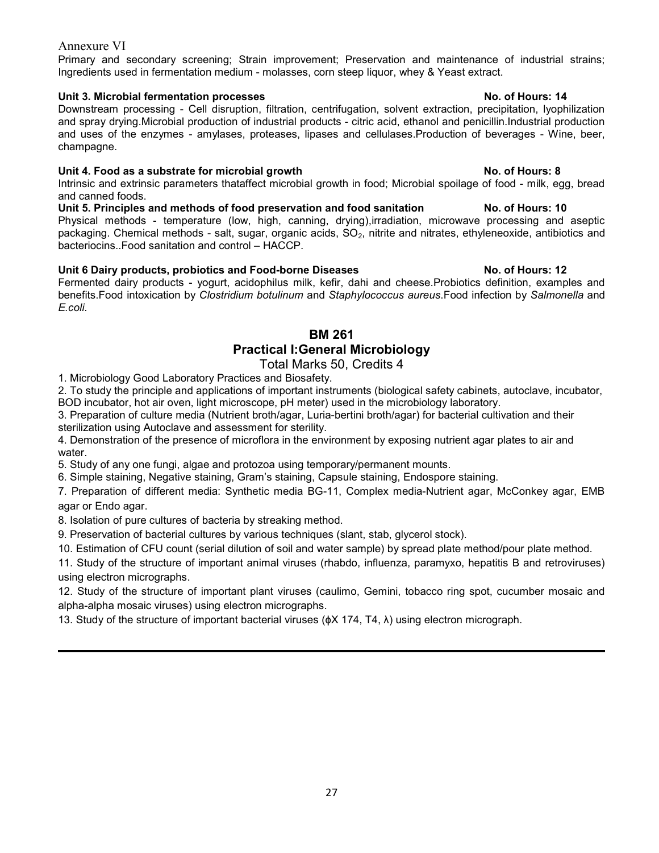Primary and secondary screening; Strain improvement; Preservation and maintenance of industrial strains; Ingredients used in fermentation medium - molasses, corn steep liquor, whey & Yeast extract.

### Unit 3. Microbial fermentation processes No. of Hours: 14

Downstream processing - Cell disruption, filtration, centrifugation, solvent extraction, precipitation, lyophilization and spray drying.Microbial production of industrial products - citric acid, ethanol and penicillin.Industrial production and uses of the enzymes - amylases, proteases, lipases and cellulases.Production of beverages - Wine, beer, champagne.

### Unit 4. Food as a substrate for microbial growth No. of Hours: 8

Intrinsic and extrinsic parameters thataffect microbial growth in food; Microbial spoilage of food - milk, egg, bread and canned foods.

Unit 5. Principles and methods of food preservation and food sanitation No. of Hours: 10 Physical methods - temperature (low, high, canning, drying),irradiation, microwave processing and aseptic packaging. Chemical methods - salt, sugar, organic acids, SO<sub>2</sub>, nitrite and nitrates, ethyleneoxide, antibiotics and bacteriocins..Food sanitation and control – HACCP.

### Unit 6 Dairy products, probiotics and Food-borne Diseases No. of Hours: 12

Fermented dairy products - yogurt, acidophilus milk, kefir, dahi and cheese.Probiotics definition, examples and benefits.Food intoxication by Clostridium botulinum and Staphylococcus aureus.Food infection by Salmonella and E.coli.

### BM 261 Practical I:General Microbiology

### Total Marks 50, Credits 4

1. Microbiology Good Laboratory Practices and Biosafety.

2. To study the principle and applications of important instruments (biological safety cabinets, autoclave, incubator, BOD incubator, hot air oven, light microscope, pH meter) used in the microbiology laboratory.

3. Preparation of culture media (Nutrient broth/agar, Luria-bertini broth/agar) for bacterial cultivation and their sterilization using Autoclave and assessment for sterility.

4. Demonstration of the presence of microflora in the environment by exposing nutrient agar plates to air and water.

5. Study of any one fungi, algae and protozoa using temporary/permanent mounts.

6. Simple staining, Negative staining, Gram's staining, Capsule staining, Endospore staining.

7. Preparation of different media: Synthetic media BG-11, Complex media-Nutrient agar, McConkey agar, EMB agar or Endo agar.

8. Isolation of pure cultures of bacteria by streaking method.

9. Preservation of bacterial cultures by various techniques (slant, stab, glycerol stock).

10. Estimation of CFU count (serial dilution of soil and water sample) by spread plate method/pour plate method.

11. Study of the structure of important animal viruses (rhabdo, influenza, paramyxo, hepatitis B and retroviruses) using electron micrographs.

12. Study of the structure of important plant viruses (caulimo, Gemini, tobacco ring spot, cucumber mosaic and alpha-alpha mosaic viruses) using electron micrographs.

13. Study of the structure of important bacterial viruses (ɸX 174, T4, λ) using electron micrograph.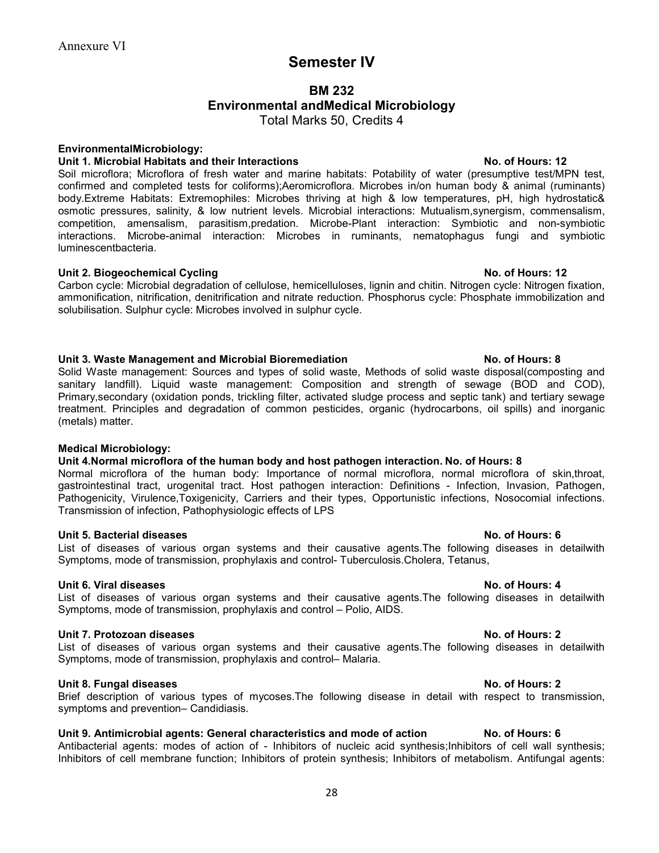# Semester IV

# BM 232 Environmental andMedical Microbiology

Total Marks 50, Credits 4

### EnvironmentalMicrobiology:

### Unit 1. Microbial Habitats and their Interactions No. of Hours: 12

Soil microflora; Microflora of fresh water and marine habitats: Potability of water (presumptive test/MPN test, confirmed and completed tests for coliforms);Aeromicroflora. Microbes in/on human body & animal (ruminants) body.Extreme Habitats: Extremophiles: Microbes thriving at high & low temperatures, pH, high hydrostatic& osmotic pressures, salinity, & low nutrient levels. Microbial interactions: Mutualism,synergism, commensalism, competition, amensalism, parasitism,predation. Microbe-Plant interaction: Symbiotic and non-symbiotic interactions. Microbe-animal interaction: Microbes in ruminants, nematophagus fungi and symbiotic luminescentbacteria.

### Unit 2. Biogeochemical Cycling No. of Hours: 12

Carbon cycle: Microbial degradation of cellulose, hemicelluloses, lignin and chitin. Nitrogen cycle: Nitrogen fixation, ammonification, nitrification, denitrification and nitrate reduction. Phosphorus cycle: Phosphate immobilization and solubilisation. Sulphur cycle: Microbes involved in sulphur cycle.

### Unit 3. Waste Management and Microbial Bioremediation No. 8 No. of Hours: 8

Solid Waste management: Sources and types of solid waste, Methods of solid waste disposal(composting and sanitary landfill). Liquid waste management: Composition and strength of sewage (BOD and COD), Primary,secondary (oxidation ponds, trickling filter, activated sludge process and septic tank) and tertiary sewage treatment. Principles and degradation of common pesticides, organic (hydrocarbons, oil spills) and inorganic (metals) matter.

### Medical Microbiology:

### Unit 4.Normal microflora of the human body and host pathogen interaction. No. of Hours: 8

Normal microflora of the human body: Importance of normal microflora, normal microflora of skin,throat, gastrointestinal tract, urogenital tract. Host pathogen interaction: Definitions - Infection, Invasion, Pathogen, Pathogenicity, Virulence,Toxigenicity, Carriers and their types, Opportunistic infections, Nosocomial infections. Transmission of infection, Pathophysiologic effects of LPS

### Unit 5. Bacterial diseases No. of Hours: 6

List of diseases of various organ systems and their causative agents.The following diseases in detailwith Symptoms, mode of transmission, prophylaxis and control- Tuberculosis.Cholera, Tetanus,

### Unit 6. Viral diseases No. of Hours: 4

### List of diseases of various organ systems and their causative agents.The following diseases in detailwith Symptoms, mode of transmission, prophylaxis and control – Polio, AIDS.

### Unit 7. Protozoan diseases No. of Hours: 2

List of diseases of various organ systems and their causative agents.The following diseases in detailwith Symptoms, mode of transmission, prophylaxis and control– Malaria.

### Unit 8. Fungal diseases No. of Hours: 2

### Brief description of various types of mycoses.The following disease in detail with respect to transmission, symptoms and prevention– Candidiasis.

### Unit 9. Antimicrobial agents: General characteristics and mode of action No. of Hours: 6

Antibacterial agents: modes of action of - Inhibitors of nucleic acid synthesis;Inhibitors of cell wall synthesis; Inhibitors of cell membrane function; Inhibitors of protein synthesis; Inhibitors of metabolism. Antifungal agents: